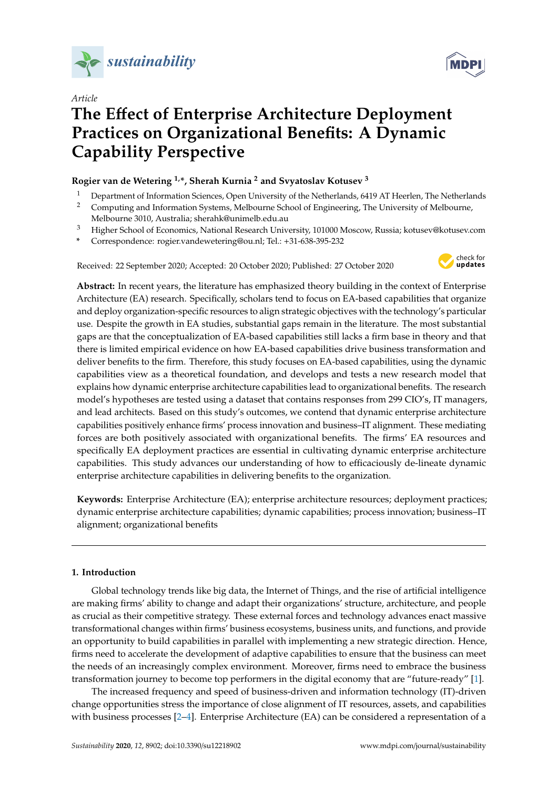



# **The E**ff**ect of Enterprise Architecture Deployment Practices on Organizational Benefits: A Dynamic Capability Perspective**

# **Rogier van de Wetering 1,\*, Sherah Kurnia <sup>2</sup> and Svyatoslav Kotusev <sup>3</sup>**

- <sup>1</sup> Department of Information Sciences, Open University of the Netherlands, 6419 AT Heerlen, The Netherlands
- <sup>2</sup> Computing and Information Systems, Melbourne School of Engineering, The University of Melbourne, Melbourne 3010, Australia; sherahk@unimelb.edu.au
- <sup>3</sup> Higher School of Economics, National Research University, 101000 Moscow, Russia; kotusev@kotusev.com
- **\*** Correspondence: rogier.vandewetering@ou.nl; Tel.: +31-638-395-232

Received: 22 September 2020; Accepted: 20 October 2020; Published: 27 October 2020



**Abstract:** In recent years, the literature has emphasized theory building in the context of Enterprise Architecture (EA) research. Specifically, scholars tend to focus on EA-based capabilities that organize and deploy organization-specific resources to align strategic objectives with the technology's particular use. Despite the growth in EA studies, substantial gaps remain in the literature. The most substantial gaps are that the conceptualization of EA-based capabilities still lacks a firm base in theory and that there is limited empirical evidence on how EA-based capabilities drive business transformation and deliver benefits to the firm. Therefore, this study focuses on EA-based capabilities, using the dynamic capabilities view as a theoretical foundation, and develops and tests a new research model that explains how dynamic enterprise architecture capabilities lead to organizational benefits. The research model's hypotheses are tested using a dataset that contains responses from 299 CIO's, IT managers, and lead architects. Based on this study's outcomes, we contend that dynamic enterprise architecture capabilities positively enhance firms' process innovation and business–IT alignment. These mediating forces are both positively associated with organizational benefits. The firms' EA resources and specifically EA deployment practices are essential in cultivating dynamic enterprise architecture capabilities. This study advances our understanding of how to efficaciously de-lineate dynamic enterprise architecture capabilities in delivering benefits to the organization.

**Keywords:** Enterprise Architecture (EA); enterprise architecture resources; deployment practices; dynamic enterprise architecture capabilities; dynamic capabilities; process innovation; business–IT alignment; organizational benefits

# **1. Introduction**

Global technology trends like big data, the Internet of Things, and the rise of artificial intelligence are making firms' ability to change and adapt their organizations' structure, architecture, and people as crucial as their competitive strategy. These external forces and technology advances enact massive transformational changes within firms' business ecosystems, business units, and functions, and provide an opportunity to build capabilities in parallel with implementing a new strategic direction. Hence, firms need to accelerate the development of adaptive capabilities to ensure that the business can meet the needs of an increasingly complex environment. Moreover, firms need to embrace the business transformation journey to become top performers in the digital economy that are "future-ready" [\[1\]](#page-16-0).

The increased frequency and speed of business-driven and information technology (IT)-driven change opportunities stress the importance of close alignment of IT resources, assets, and capabilities with business processes [\[2–](#page-16-1)[4\]](#page-16-2). Enterprise Architecture (EA) can be considered a representation of a

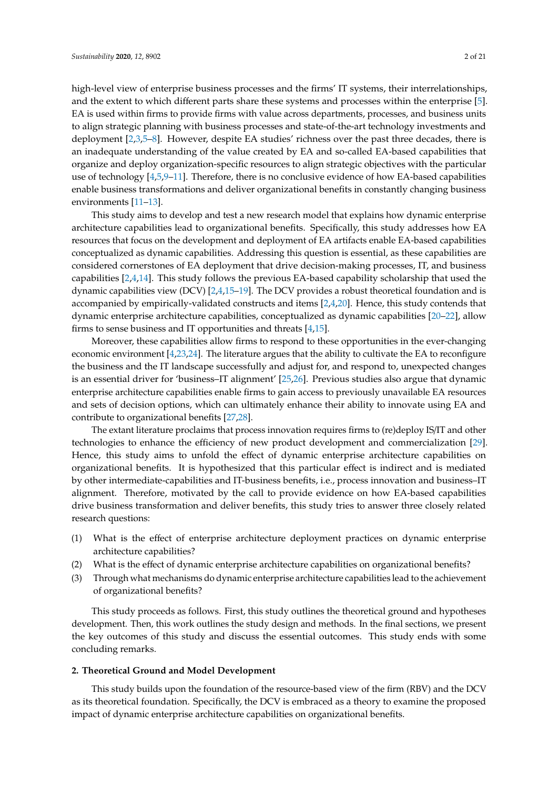high-level view of enterprise business processes and the firms' IT systems, their interrelationships, and the extent to which different parts share these systems and processes within the enterprise [\[5\]](#page-16-3). EA is used within firms to provide firms with value across departments, processes, and business units to align strategic planning with business processes and state-of-the-art technology investments and deployment [\[2](#page-16-1)[,3](#page-16-4)[,5](#page-16-3)[–8\]](#page-16-5). However, despite EA studies' richness over the past three decades, there is an inadequate understanding of the value created by EA and so-called EA-based capabilities that organize and deploy organization-specific resources to align strategic objectives with the particular use of technology [\[4](#page-16-2)[,5](#page-16-3),9-[11\]](#page-16-7). Therefore, there is no conclusive evidence of how EA-based capabilities

environments [\[11](#page-16-7)[–13\]](#page-16-8). This study aims to develop and test a new research model that explains how dynamic enterprise architecture capabilities lead to organizational benefits. Specifically, this study addresses how EA resources that focus on the development and deployment of EA artifacts enable EA-based capabilities conceptualized as dynamic capabilities. Addressing this question is essential, as these capabilities are considered cornerstones of EA deployment that drive decision-making processes, IT, and business capabilities [\[2](#page-16-1)[,4](#page-16-2)[,14\]](#page-16-9). This study follows the previous EA-based capability scholarship that used the dynamic capabilities view (DCV) [\[2,](#page-16-1)[4,](#page-16-2)[15–](#page-16-10)[19\]](#page-17-0). The DCV provides a robust theoretical foundation and is accompanied by empirically-validated constructs and items [\[2](#page-16-1)[,4](#page-16-2)[,20\]](#page-17-1). Hence, this study contends that dynamic enterprise architecture capabilities, conceptualized as dynamic capabilities [\[20](#page-17-1)[–22\]](#page-17-2), allow firms to sense business and IT opportunities and threats [\[4](#page-16-2)[,15\]](#page-16-10).

enable business transformations and deliver organizational benefits in constantly changing business

Moreover, these capabilities allow firms to respond to these opportunities in the ever-changing economic environment [\[4,](#page-16-2)[23](#page-17-3)[,24\]](#page-17-4). The literature argues that the ability to cultivate the EA to reconfigure the business and the IT landscape successfully and adjust for, and respond to, unexpected changes is an essential driver for 'business–IT alignment' [\[25](#page-17-5)[,26\]](#page-17-6). Previous studies also argue that dynamic enterprise architecture capabilities enable firms to gain access to previously unavailable EA resources and sets of decision options, which can ultimately enhance their ability to innovate using EA and contribute to organizational benefits [\[27,](#page-17-7)[28\]](#page-17-8).

The extant literature proclaims that process innovation requires firms to (re)deploy IS/IT and other technologies to enhance the efficiency of new product development and commercialization [\[29\]](#page-17-9). Hence, this study aims to unfold the effect of dynamic enterprise architecture capabilities on organizational benefits. It is hypothesized that this particular effect is indirect and is mediated by other intermediate-capabilities and IT-business benefits, i.e., process innovation and business–IT alignment. Therefore, motivated by the call to provide evidence on how EA-based capabilities drive business transformation and deliver benefits, this study tries to answer three closely related research questions:

- (1) What is the effect of enterprise architecture deployment practices on dynamic enterprise architecture capabilities?
- (2) What is the effect of dynamic enterprise architecture capabilities on organizational benefits?
- (3) Through what mechanisms do dynamic enterprise architecture capabilities lead to the achievement of organizational benefits?

This study proceeds as follows. First, this study outlines the theoretical ground and hypotheses development. Then, this work outlines the study design and methods. In the final sections, we present the key outcomes of this study and discuss the essential outcomes. This study ends with some concluding remarks.

# **2. Theoretical Ground and Model Development**

This study builds upon the foundation of the resource-based view of the firm (RBV) and the DCV as its theoretical foundation. Specifically, the DCV is embraced as a theory to examine the proposed impact of dynamic enterprise architecture capabilities on organizational benefits.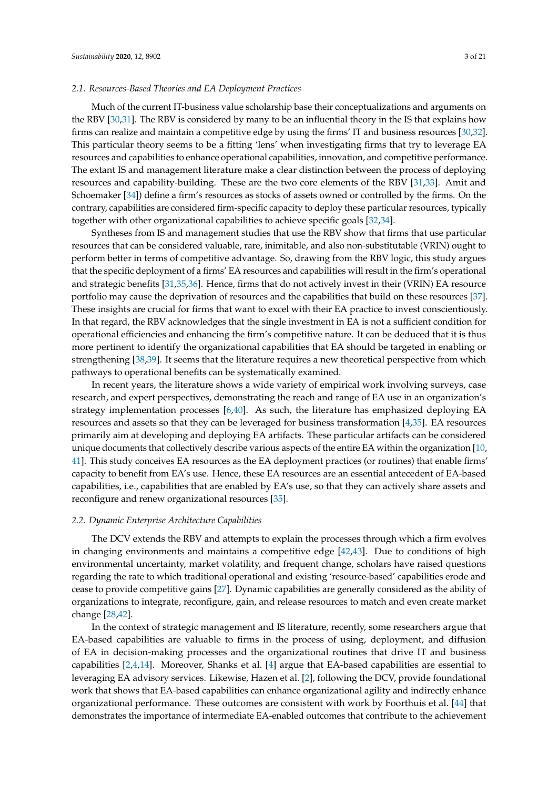# *2.1. Resources-Based Theories and EA Deployment Practices*

Much of the current IT-business value scholarship base their conceptualizations and arguments on the RBV [\[30](#page-17-10)[,31\]](#page-17-11). The RBV is considered by many to be an influential theory in the IS that explains how firms can realize and maintain a competitive edge by using the firms' IT and business resources [\[30](#page-17-10)[,32\]](#page-17-12). This particular theory seems to be a fitting 'lens' when investigating firms that try to leverage EA resources and capabilities to enhance operational capabilities, innovation, and competitive performance. The extant IS and management literature make a clear distinction between the process of deploying resources and capability-building. These are the two core elements of the RBV [\[31](#page-17-11)[,33\]](#page-17-13). Amit and Schoemaker [\[34\]](#page-17-14)) define a firm's resources as stocks of assets owned or controlled by the firms. On the contrary, capabilities are considered firm-specific capacity to deploy these particular resources, typically together with other organizational capabilities to achieve specific goals [\[32,](#page-17-12)[34\]](#page-17-14).

Syntheses from IS and management studies that use the RBV show that firms that use particular resources that can be considered valuable, rare, inimitable, and also non-substitutable (VRIN) ought to perform better in terms of competitive advantage. So, drawing from the RBV logic, this study argues that the specific deployment of a firms' EA resources and capabilities will result in the firm's operational and strategic benefits [\[31,](#page-17-11)[35,](#page-17-15)[36\]](#page-17-16). Hence, firms that do not actively invest in their (VRIN) EA resource portfolio may cause the deprivation of resources and the capabilities that build on these resources [\[37\]](#page-17-17). These insights are crucial for firms that want to excel with their EA practice to invest conscientiously. In that regard, the RBV acknowledges that the single investment in EA is not a sufficient condition for operational efficiencies and enhancing the firm's competitive nature. It can be deduced that it is thus more pertinent to identify the organizational capabilities that EA should be targeted in enabling or strengthening [\[38,](#page-17-18)[39\]](#page-17-19). It seems that the literature requires a new theoretical perspective from which pathways to operational benefits can be systematically examined.

In recent years, the literature shows a wide variety of empirical work involving surveys, case research, and expert perspectives, demonstrating the reach and range of EA use in an organization's strategy implementation processes [\[6,](#page-16-11)[40\]](#page-17-20). As such, the literature has emphasized deploying EA resources and assets so that they can be leveraged for business transformation [\[4,](#page-16-2)[35\]](#page-17-15). EA resources primarily aim at developing and deploying EA artifacts. These particular artifacts can be considered unique documents that collectively describe various aspects of the entire EA within the organization [\[10,](#page-16-12) [41\]](#page-17-21). This study conceives EA resources as the EA deployment practices (or routines) that enable firms' capacity to benefit from EA's use. Hence, these EA resources are an essential antecedent of EA-based capabilities, i.e., capabilities that are enabled by EA's use, so that they can actively share assets and reconfigure and renew organizational resources [\[35\]](#page-17-15).

#### *2.2. Dynamic Enterprise Architecture Capabilities*

The DCV extends the RBV and attempts to explain the processes through which a firm evolves in changing environments and maintains a competitive edge [\[42](#page-18-0)[,43\]](#page-18-1). Due to conditions of high environmental uncertainty, market volatility, and frequent change, scholars have raised questions regarding the rate to which traditional operational and existing 'resource-based' capabilities erode and cease to provide competitive gains [\[27\]](#page-17-7). Dynamic capabilities are generally considered as the ability of organizations to integrate, reconfigure, gain, and release resources to match and even create market change [\[28,](#page-17-8)[42\]](#page-18-0).

In the context of strategic management and IS literature, recently, some researchers argue that EA-based capabilities are valuable to firms in the process of using, deployment, and diffusion of EA in decision-making processes and the organizational routines that drive IT and business capabilities [\[2,](#page-16-1)[4,](#page-16-2)[14\]](#page-16-9). Moreover, Shanks et al. [\[4\]](#page-16-2) argue that EA-based capabilities are essential to leveraging EA advisory services. Likewise, Hazen et al. [\[2\]](#page-16-1), following the DCV, provide foundational work that shows that EA-based capabilities can enhance organizational agility and indirectly enhance organizational performance. These outcomes are consistent with work by Foorthuis et al. [\[44\]](#page-18-2) that demonstrates the importance of intermediate EA-enabled outcomes that contribute to the achievement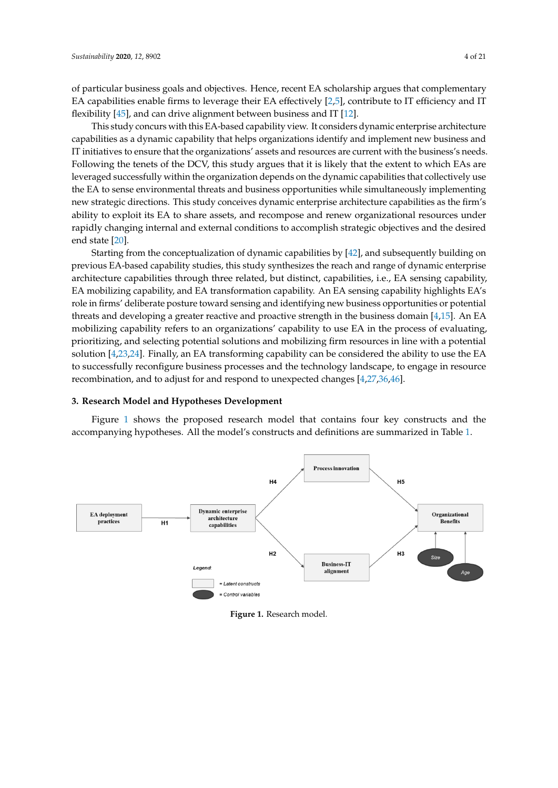of particular business goals and objectives. Hence, recent EA scholarship argues that complementary *Sustainability* **2020**, *12*, x FOR PEER REVIEW 4 of 21 EA capabilities enable firms to leverage their EA effectively [\[2,](#page-16-1)[5\]](#page-16-3), contribute to IT efficiency and IT flexibility [45], and can drive alignment between business and IT [12].

This study concurs with this EA-based capability view. It considers dynamic enterprise architecture capabilities as a dynamic capability that helps organizations identify and implement new business and IT initiatives to ensure that the organizations' assets and resources are current with the business's needs. Following the tenets of the DCV, this study argues that it is likely that the extent to which EAs are leveraged successfully within the organization depends on the dynamic capabilities that collectively use the EA to sense environmental threats and business opportunities while simultaneously implementing new strategic directions. This study conceives dynamic enterprise architecture capabilities as the firm's ability to exploit its EA to share assets, and recompose and renew organizational resources under rapidly changing internal and external conditions to accomplish strategic objectives and the desired end state [\[20\]](#page-17-1).  $\frac{1}{\sqrt{1-\frac{1}{\sqrt{1-\frac{1}{\sqrt{1-\frac{1}{\sqrt{1-\frac{1}{\sqrt{1-\frac{1}{\sqrt{1-\frac{1}{\sqrt{1-\frac{1}{\sqrt{1-\frac{1}{\sqrt{1-\frac{1}{\sqrt{1-\frac{1}{\sqrt{1-\frac{1}{\sqrt{1-\frac{1}{\sqrt{1-\frac{1}{\sqrt{1-\frac{1}{\sqrt{1-\frac{1}{\sqrt{1-\frac{1}{\sqrt{1-\frac{1}{\sqrt{1-\frac{1}{\sqrt{1-\frac{1}{\sqrt{1-\frac{1}{\sqrt{1-\frac{1}{\sqrt{1-\frac{1}{\sqrt{1-\frac{1}{\sqrt{1-\frac{1$ 

Starting from the conceptualization of dynamic capabilities by [\[42\]](#page-18-0), and subsequently building on previous EA-based capability studies, this study synthesizes the reach and range of dynamic enterprise n<br>architecture capabilities through three related, but distinct, capabilities, i.e., EA sensing capability, EA mobilizing capability, and EA transformation capability. An EA sensing capability highlights EA's role in firms' deliberate posture toward sensing and identifying new business opportunities or potential threats and developing a greater reactive and proactive strength in the business domain [\[4](#page-16-2)[,15\]](#page-16-10). An EA threats and developing a generic cluster cluster reactive strength in the clusters are mainly [4,15]. An EA in the process of evaluating, mobilizing capability refers to an organizations' capability to use EA in the process of evaluating,<br>prioritizing, and selecting potential solutions and mobilizing firm resources in line with a potential prioritizing, and selecting potential solutions and mobilizing firm resources in line with a potential<br>solution [\[4](#page-16-2)[,23,](#page-17-3)[24\]](#page-17-4). Finally, an EA transforming capability can be considered the ability to use the EA for solution [4,23,24]. Finally, an EA transforming capability can be considered the ability to use the EA recombination, and to adjust for and respond to unexpected changes [\[4](#page-16-2)[,27,](#page-17-7)[36,](#page-17-16)[46\]](#page-18-4). recombination, and to adjust for and respond to unexpected changes [4,27,36,46]. to successfully reconfigure business processes and the technology landscape, to engage in resource

# **3. Research Model and Hypotheses Development 3. Research Model and Hypotheses Development**

Figure [1](#page-3-0) shows the proposed research model that contains four key constructs and the accompanying hypotheses. All the model's constructs and definitions are summarized in Table [1.](#page-4-0) ecompany and my potheses. The model is constructed and definitions are summarized in  $\frac{1}{2}$ 

<span id="page-3-0"></span>

**Figure 1. Figure 1.**  Research model. Research model.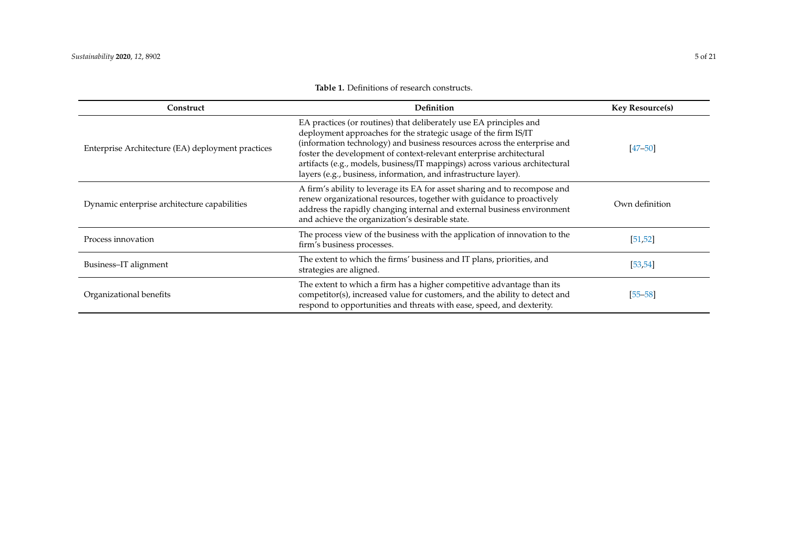<span id="page-4-0"></span>

| Construct                                         | Definition                                                                                                                                                                                                                                                                                                                                                                                                                                  | <b>Key Resource(s)</b> |
|---------------------------------------------------|---------------------------------------------------------------------------------------------------------------------------------------------------------------------------------------------------------------------------------------------------------------------------------------------------------------------------------------------------------------------------------------------------------------------------------------------|------------------------|
| Enterprise Architecture (EA) deployment practices | EA practices (or routines) that deliberately use EA principles and<br>deployment approaches for the strategic usage of the firm IS/IT<br>(information technology) and business resources across the enterprise and<br>foster the development of context-relevant enterprise architectural<br>artifacts (e.g., models, business/IT mappings) across various architectural<br>layers (e.g., business, information, and infrastructure layer). | $[47 - 50]$            |
| Dynamic enterprise architecture capabilities      | A firm's ability to leverage its EA for asset sharing and to recompose and<br>renew organizational resources, together with guidance to proactively<br>address the rapidly changing internal and external business environment<br>and achieve the organization's desirable state.                                                                                                                                                           | Own definition         |
| Process innovation                                | The process view of the business with the application of innovation to the<br>firm's business processes.                                                                                                                                                                                                                                                                                                                                    | [51, 52]               |
| Business-IT alignment                             | The extent to which the firms' business and IT plans, priorities, and<br>strategies are aligned.                                                                                                                                                                                                                                                                                                                                            | [53, 54]               |
| Organizational benefits                           | The extent to which a firm has a higher competitive advantage than its<br>competitor(s), increased value for customers, and the ability to detect and<br>respond to opportunities and threats with ease, speed, and dexterity.                                                                                                                                                                                                              | $[55 - 58]$            |

# **Table 1.** Definitions of research constructs.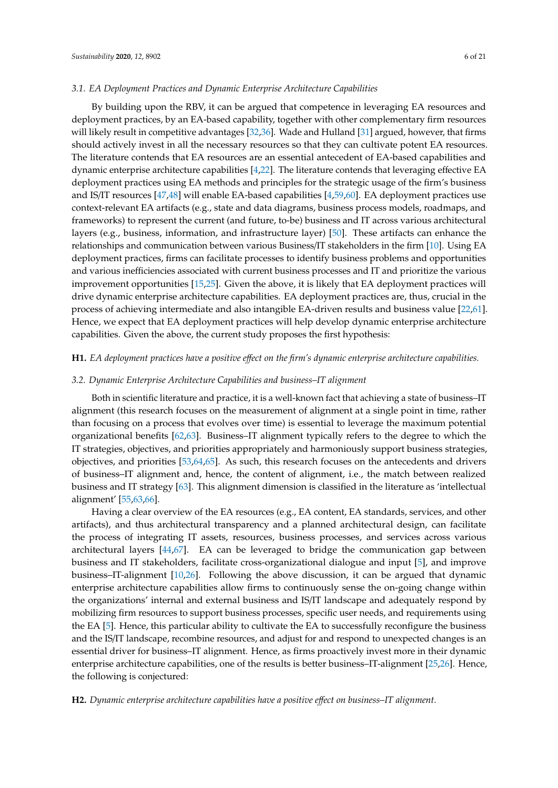# *3.1. EA Deployment Practices and Dynamic Enterprise Architecture Capabilities*

By building upon the RBV, it can be argued that competence in leveraging EA resources and deployment practices, by an EA-based capability, together with other complementary firm resources will likely result in competitive advantages [\[32](#page-17-12)[,36\]](#page-17-16). Wade and Hulland [\[31\]](#page-17-11) argued, however, that firms should actively invest in all the necessary resources so that they can cultivate potent EA resources. The literature contends that EA resources are an essential antecedent of EA-based capabilities and dynamic enterprise architecture capabilities [\[4,](#page-16-2)[22\]](#page-17-2). The literature contends that leveraging effective EA deployment practices using EA methods and principles for the strategic usage of the firm's business and IS/IT resources [\[47,](#page-18-13)[48\]](#page-18-14) will enable EA-based capabilities [\[4,](#page-16-2)[59,](#page-18-15)[60\]](#page-18-16). EA deployment practices use context-relevant EA artifacts (e.g., state and data diagrams, business process models, roadmaps, and frameworks) to represent the current (and future, to-be) business and IT across various architectural layers (e.g., business, information, and infrastructure layer) [\[50\]](#page-18-17). These artifacts can enhance the relationships and communication between various Business/IT stakeholders in the firm [\[10\]](#page-16-12). Using EA deployment practices, firms can facilitate processes to identify business problems and opportunities and various inefficiencies associated with current business processes and IT and prioritize the various improvement opportunities [\[15](#page-16-10)[,25\]](#page-17-5). Given the above, it is likely that EA deployment practices will drive dynamic enterprise architecture capabilities. EA deployment practices are, thus, crucial in the process of achieving intermediate and also intangible EA-driven results and business value [\[22,](#page-17-2)[61\]](#page-18-18). Hence, we expect that EA deployment practices will help develop dynamic enterprise architecture capabilities. Given the above, the current study proposes the first hypothesis:

# **H1.** *EA deployment practices have a positive e*ff*ect on the firm's dynamic enterprise architecture capabilities.*

# *3.2. Dynamic Enterprise Architecture Capabilities and business–IT alignment*

Both in scientific literature and practice, it is a well-known fact that achieving a state of business–IT alignment (this research focuses on the measurement of alignment at a single point in time, rather than focusing on a process that evolves over time) is essential to leverage the maximum potential organizational benefits [\[62](#page-18-19)[,63\]](#page-18-20). Business–IT alignment typically refers to the degree to which the IT strategies, objectives, and priorities appropriately and harmoniously support business strategies, objectives, and priorities [\[53,](#page-18-21)[64,](#page-18-22)[65\]](#page-18-23). As such, this research focuses on the antecedents and drivers of business–IT alignment and, hence, the content of alignment, i.e., the match between realized business and IT strategy [\[63\]](#page-18-20). This alignment dimension is classified in the literature as 'intellectual alignment' [\[55](#page-18-24)[,63](#page-18-20)[,66\]](#page-18-25).

Having a clear overview of the EA resources (e.g., EA content, EA standards, services, and other artifacts), and thus architectural transparency and a planned architectural design, can facilitate the process of integrating IT assets, resources, business processes, and services across various architectural layers [\[44,](#page-18-2)[67\]](#page-19-0). EA can be leveraged to bridge the communication gap between business and IT stakeholders, facilitate cross-organizational dialogue and input [\[5\]](#page-16-3), and improve business–IT-alignment [\[10](#page-16-12)[,26\]](#page-17-6). Following the above discussion, it can be argued that dynamic enterprise architecture capabilities allow firms to continuously sense the on-going change within the organizations' internal and external business and IS/IT landscape and adequately respond by mobilizing firm resources to support business processes, specific user needs, and requirements using the EA [\[5\]](#page-16-3). Hence, this particular ability to cultivate the EA to successfully reconfigure the business and the IS/IT landscape, recombine resources, and adjust for and respond to unexpected changes is an essential driver for business–IT alignment. Hence, as firms proactively invest more in their dynamic enterprise architecture capabilities, one of the results is better business–IT-alignment [\[25](#page-17-5)[,26\]](#page-17-6). Hence, the following is conjectured:

# **H2.** *Dynamic enterprise architecture capabilities have a positive e*ff*ect on business–IT alignment.*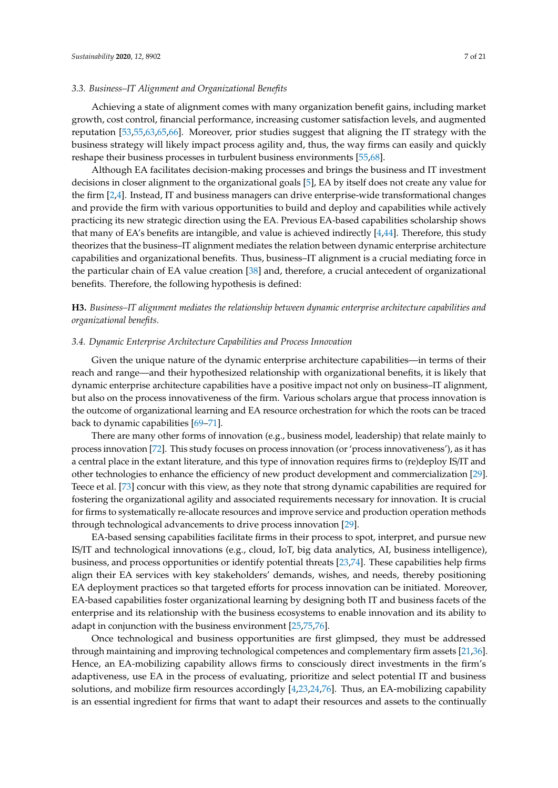# *3.3. Business–IT Alignment and Organizational Benefits*

Achieving a state of alignment comes with many organization benefit gains, including market growth, cost control, financial performance, increasing customer satisfaction levels, and augmented reputation [\[53,](#page-18-21)[55,](#page-18-24)[63,](#page-18-20)[65,](#page-18-23)[66\]](#page-18-25). Moreover, prior studies suggest that aligning the IT strategy with the business strategy will likely impact process agility and, thus, the way firms can easily and quickly reshape their business processes in turbulent business environments [\[55](#page-18-24)[,68\]](#page-19-1).

Although EA facilitates decision-making processes and brings the business and IT investment decisions in closer alignment to the organizational goals [\[5\]](#page-16-3), EA by itself does not create any value for the firm [\[2,](#page-16-1)[4\]](#page-16-2). Instead, IT and business managers can drive enterprise-wide transformational changes and provide the firm with various opportunities to build and deploy and capabilities while actively practicing its new strategic direction using the EA. Previous EA-based capabilities scholarship shows that many of EA's benefits are intangible, and value is achieved indirectly  $[4,44]$  $[4,44]$ . Therefore, this study theorizes that the business–IT alignment mediates the relation between dynamic enterprise architecture capabilities and organizational benefits. Thus, business–IT alignment is a crucial mediating force in the particular chain of EA value creation [\[38\]](#page-17-18) and, therefore, a crucial antecedent of organizational benefits. Therefore, the following hypothesis is defined:

**H3.** *Business–IT alignment mediates the relationship between dynamic enterprise architecture capabilities and organizational benefits.*

# *3.4. Dynamic Enterprise Architecture Capabilities and Process Innovation*

Given the unique nature of the dynamic enterprise architecture capabilities—in terms of their reach and range—and their hypothesized relationship with organizational benefits, it is likely that dynamic enterprise architecture capabilities have a positive impact not only on business–IT alignment, but also on the process innovativeness of the firm. Various scholars argue that process innovation is the outcome of organizational learning and EA resource orchestration for which the roots can be traced back to dynamic capabilities [\[69](#page-19-2)[–71\]](#page-19-3).

There are many other forms of innovation (e.g., business model, leadership) that relate mainly to process innovation [\[72\]](#page-19-4). This study focuses on process innovation (or 'process innovativeness'), as it has a central place in the extant literature, and this type of innovation requires firms to (re)deploy IS/IT and other technologies to enhance the efficiency of new product development and commercialization [\[29\]](#page-17-9). Teece et al. [\[73\]](#page-19-5) concur with this view, as they note that strong dynamic capabilities are required for fostering the organizational agility and associated requirements necessary for innovation. It is crucial for firms to systematically re-allocate resources and improve service and production operation methods through technological advancements to drive process innovation [\[29\]](#page-17-9).

EA-based sensing capabilities facilitate firms in their process to spot, interpret, and pursue new IS/IT and technological innovations (e.g., cloud, IoT, big data analytics, AI, business intelligence), business, and process opportunities or identify potential threats [\[23](#page-17-3)[,74\]](#page-19-6). These capabilities help firms align their EA services with key stakeholders' demands, wishes, and needs, thereby positioning EA deployment practices so that targeted efforts for process innovation can be initiated. Moreover, EA-based capabilities foster organizational learning by designing both IT and business facets of the enterprise and its relationship with the business ecosystems to enable innovation and its ability to adapt in conjunction with the business environment [\[25](#page-17-5)[,75,](#page-19-7)[76\]](#page-19-8).

Once technological and business opportunities are first glimpsed, they must be addressed through maintaining and improving technological competences and complementary firm assets [\[21](#page-17-22)[,36\]](#page-17-16). Hence, an EA-mobilizing capability allows firms to consciously direct investments in the firm's adaptiveness, use EA in the process of evaluating, prioritize and select potential IT and business solutions, and mobilize firm resources accordingly [\[4,](#page-16-2)[23](#page-17-3)[,24,](#page-17-4)[76\]](#page-19-8). Thus, an EA-mobilizing capability is an essential ingredient for firms that want to adapt their resources and assets to the continually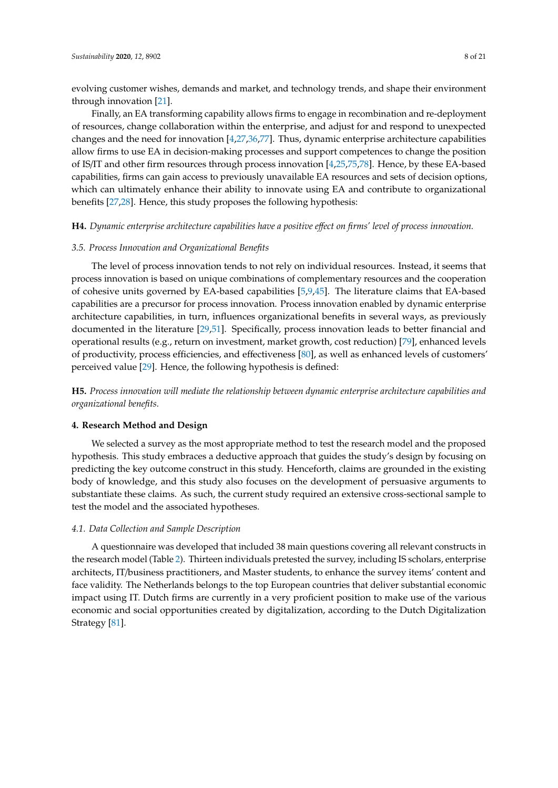evolving customer wishes, demands and market, and technology trends, and shape their environment through innovation [\[21\]](#page-17-22).

Finally, an EA transforming capability allows firms to engage in recombination and re-deployment of resources, change collaboration within the enterprise, and adjust for and respond to unexpected changes and the need for innovation [\[4](#page-16-2)[,27](#page-17-7)[,36](#page-17-16)[,77\]](#page-19-9). Thus, dynamic enterprise architecture capabilities allow firms to use EA in decision-making processes and support competences to change the position of IS/IT and other firm resources through process innovation [\[4,](#page-16-2)[25,](#page-17-5)[75,](#page-19-7)[78\]](#page-19-10). Hence, by these EA-based capabilities, firms can gain access to previously unavailable EA resources and sets of decision options, which can ultimately enhance their ability to innovate using EA and contribute to organizational benefits [\[27,](#page-17-7)[28\]](#page-17-8). Hence, this study proposes the following hypothesis:

**H4.** *Dynamic enterprise architecture capabilities have a positive e*ff*ect on firms' level of process innovation.*

# *3.5. Process Innovation and Organizational Benefits*

The level of process innovation tends to not rely on individual resources. Instead, it seems that process innovation is based on unique combinations of complementary resources and the cooperation of cohesive units governed by EA-based capabilities [\[5,](#page-16-3)[9,](#page-16-6)[45\]](#page-18-3). The literature claims that EA-based capabilities are a precursor for process innovation. Process innovation enabled by dynamic enterprise architecture capabilities, in turn, influences organizational benefits in several ways, as previously documented in the literature [\[29](#page-17-9)[,51\]](#page-18-26). Specifically, process innovation leads to better financial and operational results (e.g., return on investment, market growth, cost reduction) [\[79\]](#page-19-11), enhanced levels of productivity, process efficiencies, and effectiveness [\[80\]](#page-19-12), as well as enhanced levels of customers' perceived value [\[29\]](#page-17-9). Hence, the following hypothesis is defined:

**H5.** *Process innovation will mediate the relationship between dynamic enterprise architecture capabilities and organizational benefits.*

# **4. Research Method and Design**

We selected a survey as the most appropriate method to test the research model and the proposed hypothesis. This study embraces a deductive approach that guides the study's design by focusing on predicting the key outcome construct in this study. Henceforth, claims are grounded in the existing body of knowledge, and this study also focuses on the development of persuasive arguments to substantiate these claims. As such, the current study required an extensive cross-sectional sample to test the model and the associated hypotheses.

# *4.1. Data Collection and Sample Description*

A questionnaire was developed that included 38 main questions covering all relevant constructs in the research model (Table [2\)](#page-8-0). Thirteen individuals pretested the survey, including IS scholars, enterprise architects, IT/business practitioners, and Master students, to enhance the survey items' content and face validity. The Netherlands belongs to the top European countries that deliver substantial economic impact using IT. Dutch firms are currently in a very proficient position to make use of the various economic and social opportunities created by digitalization, according to the Dutch Digitalization Strategy [\[81\]](#page-19-13).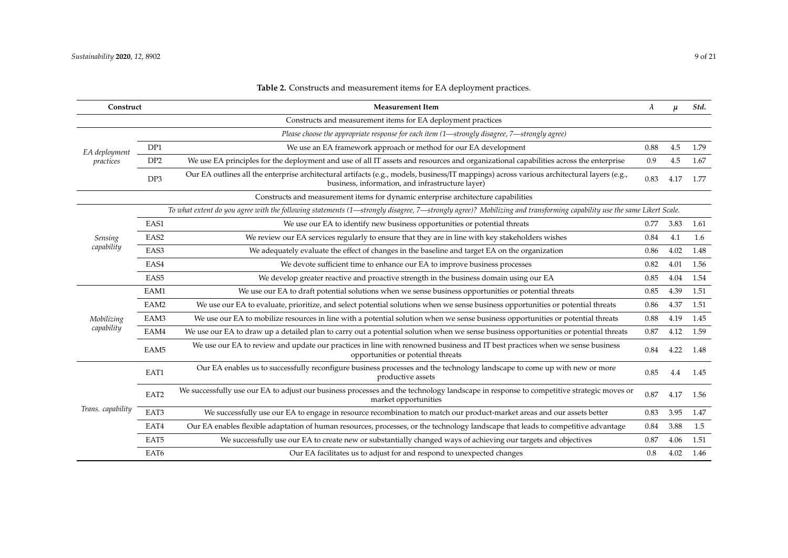<span id="page-8-0"></span>

| Construct                  |                                                                                                                                                                      | <b>Measurement Item</b>                                                                                                                                                                        |      |      |      |  |
|----------------------------|----------------------------------------------------------------------------------------------------------------------------------------------------------------------|------------------------------------------------------------------------------------------------------------------------------------------------------------------------------------------------|------|------|------|--|
|                            |                                                                                                                                                                      | Constructs and measurement items for EA deployment practices                                                                                                                                   |      |      |      |  |
|                            |                                                                                                                                                                      | Please choose the appropriate response for each item (1—strongly disagree, 7—strongly agree)                                                                                                   |      |      |      |  |
| EA deployment<br>practices | DP1                                                                                                                                                                  | We use an EA framework approach or method for our EA development                                                                                                                               | 0.88 | 4.5  | 1.79 |  |
|                            | DP <sub>2</sub>                                                                                                                                                      | We use EA principles for the deployment and use of all IT assets and resources and organizational capabilities across the enterprise                                                           | 0.9  | 4.5  | 1.67 |  |
|                            | DP3                                                                                                                                                                  | Our EA outlines all the enterprise architectural artifacts (e.g., models, business/IT mappings) across various architectural layers (e.g.,<br>business, information, and infrastructure layer) | 0.83 | 4.17 | 1.77 |  |
|                            | Constructs and measurement items for dynamic enterprise architecture capabilities                                                                                    |                                                                                                                                                                                                |      |      |      |  |
|                            | To what extent do you agree with the following statements (1—strongly disagree, 7—strongly agree)? Mobilizing and transforming capability use the same Likert Scale. |                                                                                                                                                                                                |      |      |      |  |
|                            | EAS1                                                                                                                                                                 | We use our EA to identify new business opportunities or potential threats                                                                                                                      | 0.77 | 3.83 | 1.61 |  |
| <b>Sensing</b>             | EAS <sub>2</sub>                                                                                                                                                     | We review our EA services regularly to ensure that they are in line with key stakeholders wishes                                                                                               | 0.84 | 4.1  | 1.6  |  |
| capability                 | EAS3                                                                                                                                                                 | We adequately evaluate the effect of changes in the baseline and target EA on the organization                                                                                                 | 0.86 | 4.02 | 1.48 |  |
|                            | EAS4                                                                                                                                                                 | We devote sufficient time to enhance our EA to improve business processes                                                                                                                      | 0.82 | 4.01 | 1.56 |  |
|                            | EAS5                                                                                                                                                                 | We develop greater reactive and proactive strength in the business domain using our EA                                                                                                         | 0.85 | 4.04 | 1.54 |  |
|                            | EAM1                                                                                                                                                                 | We use our EA to draft potential solutions when we sense business opportunities or potential threats                                                                                           | 0.85 | 4.39 | 1.51 |  |
|                            | EAM2                                                                                                                                                                 | We use our EA to evaluate, prioritize, and select potential solutions when we sense business opportunities or potential threats                                                                | 0.86 | 4.37 | 1.51 |  |
| Mobilizing                 | EAM3                                                                                                                                                                 | We use our EA to mobilize resources in line with a potential solution when we sense business opportunities or potential threats                                                                | 0.88 | 4.19 | 1.45 |  |
| capability                 | EAM4                                                                                                                                                                 | We use our EA to draw up a detailed plan to carry out a potential solution when we sense business opportunities or potential threats                                                           | 0.87 | 4.12 | 1.59 |  |
|                            | EAM <sub>5</sub>                                                                                                                                                     | We use our EA to review and update our practices in line with renowned business and IT best practices when we sense business<br>opportunities or potential threats                             | 0.84 | 4.22 | 1.48 |  |
| Trans. capability          | EAT1                                                                                                                                                                 | Our EA enables us to successfully reconfigure business processes and the technology landscape to come up with new or more<br>productive assets                                                 | 0.85 | 4.4  | 1.45 |  |
|                            | EAT2                                                                                                                                                                 | We successfully use our EA to adjust our business processes and the technology landscape in response to competitive strategic moves or<br>market opportunities                                 | 0.87 | 4.17 | 1.56 |  |
|                            | EAT3                                                                                                                                                                 | We successfully use our EA to engage in resource recombination to match our product-market areas and our assets better                                                                         | 0.83 | 3.95 | 1.47 |  |
|                            | EAT4                                                                                                                                                                 | Our EA enables flexible adaptation of human resources, processes, or the technology landscape that leads to competitive advantage                                                              | 0.84 | 3.88 | 1.5  |  |
|                            | EAT5                                                                                                                                                                 | We successfully use our EA to create new or substantially changed ways of achieving our targets and objectives                                                                                 | 0.87 | 4.06 | 1.51 |  |
|                            | EAT6                                                                                                                                                                 | Our EA facilitates us to adjust for and respond to unexpected changes                                                                                                                          | 0.8  | 4.02 | 1.46 |  |

# **Table 2.** Constructs and measurement items for EA deployment practices.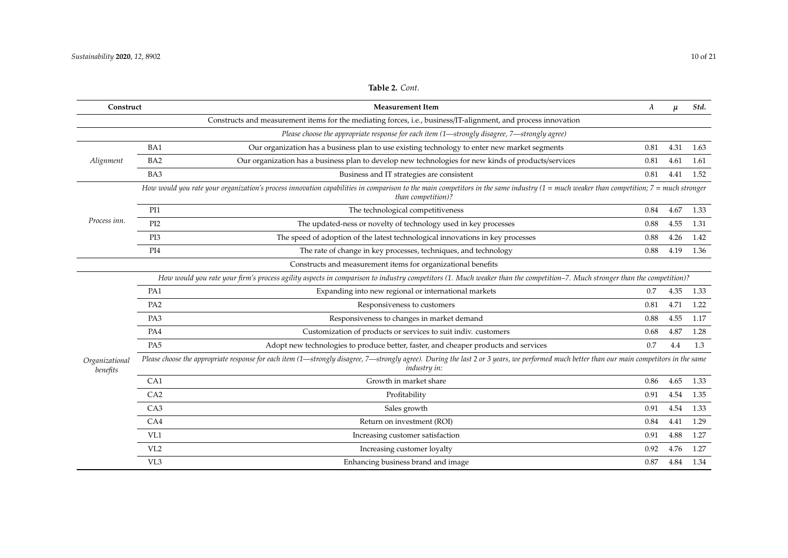| Construct                  |                                                                                                                                                                                                                               | <b>Measurement Item</b>                                                                                        | $\lambda$ | $\mu$ | Std. |  |  |
|----------------------------|-------------------------------------------------------------------------------------------------------------------------------------------------------------------------------------------------------------------------------|----------------------------------------------------------------------------------------------------------------|-----------|-------|------|--|--|
|                            |                                                                                                                                                                                                                               | Constructs and measurement items for the mediating forces, i.e., business/IT-alignment, and process innovation |           |       |      |  |  |
|                            |                                                                                                                                                                                                                               | Please choose the appropriate response for each item (1-strongly disagree, 7-strongly agree)                   |           |       |      |  |  |
| Alignment                  | BA1                                                                                                                                                                                                                           | Our organization has a business plan to use existing technology to enter new market segments                   | 0.81      | 4.31  | 1.63 |  |  |
|                            | BA <sub>2</sub>                                                                                                                                                                                                               | Our organization has a business plan to develop new technologies for new kinds of products/services            | 0.81      | 4.61  | 1.61 |  |  |
|                            | BA3                                                                                                                                                                                                                           | Business and IT strategies are consistent                                                                      | 0.81      | 4.41  | 1.52 |  |  |
|                            | How would you rate your organization's process innovation capabilities in comparison to the main competitors in the same industry $(1 = \text{much weaker than competition}; 7 = \text{much stronger})$<br>than competition)? |                                                                                                                |           |       |      |  |  |
|                            | PI1                                                                                                                                                                                                                           | The technological competitiveness                                                                              | 0.84      | 4.67  | 1.33 |  |  |
| Process inn.               | PI <sub>2</sub>                                                                                                                                                                                                               | The updated-ness or novelty of technology used in key processes                                                | 0.88      | 4.55  | 1.31 |  |  |
|                            | PI3                                                                                                                                                                                                                           | The speed of adoption of the latest technological innovations in key processes                                 | 0.88      | 4.26  | 1.42 |  |  |
|                            | PI <sub>4</sub>                                                                                                                                                                                                               | The rate of change in key processes, techniques, and technology                                                | 0.88      | 4.19  | 1.36 |  |  |
|                            |                                                                                                                                                                                                                               | Constructs and measurement items for organizational benefits                                                   |           |       |      |  |  |
|                            | How would you rate your firm's process agility aspects in comparison to industry competitors (1. Much weaker than the competition-7. Much stronger than the competition)?                                                     |                                                                                                                |           |       |      |  |  |
|                            | PA1                                                                                                                                                                                                                           | Expanding into new regional or international markets                                                           | 0.7       | 4.35  | 1.33 |  |  |
|                            | PA <sub>2</sub>                                                                                                                                                                                                               | Responsiveness to customers                                                                                    | 0.81      | 4.71  | 1.22 |  |  |
|                            | PA3                                                                                                                                                                                                                           | Responsiveness to changes in market demand                                                                     | 0.88      | 4.55  | 1.17 |  |  |
|                            | PA4                                                                                                                                                                                                                           | Customization of products or services to suit indiv. customers                                                 | 0.68      | 4.87  | 1.28 |  |  |
|                            | PA <sub>5</sub>                                                                                                                                                                                                               | Adopt new technologies to produce better, faster, and cheaper products and services                            | 0.7       | 4.4   | 1.3  |  |  |
| Organizational<br>benefits | Please choose the appropriate response for each item (1—strongly disagree, 7—strongly agree). During the last 2 or 3 years, we performed much better than our main competitors in the same<br><i>industry in:</i>             |                                                                                                                |           |       |      |  |  |
|                            | CA1                                                                                                                                                                                                                           | Growth in market share                                                                                         | 0.86      | 4.65  | 1.33 |  |  |
|                            | CA2                                                                                                                                                                                                                           | Profitability                                                                                                  | 0.91      | 4.54  | 1.35 |  |  |
|                            | CA3                                                                                                                                                                                                                           | Sales growth                                                                                                   | 0.91      | 4.54  | 1.33 |  |  |
|                            | CA4                                                                                                                                                                                                                           | Return on investment (ROI)                                                                                     | 0.84      | 4.41  | 1.29 |  |  |
|                            | VL1                                                                                                                                                                                                                           | Increasing customer satisfaction                                                                               | 0.91      | 4.88  | 1.27 |  |  |
|                            | VL <sub>2</sub>                                                                                                                                                                                                               | Increasing customer loyalty                                                                                    | 0.92      | 4.76  | 1.27 |  |  |
|                            | VL3                                                                                                                                                                                                                           | Enhancing business brand and image                                                                             | 0.87      | 4.84  | 1.34 |  |  |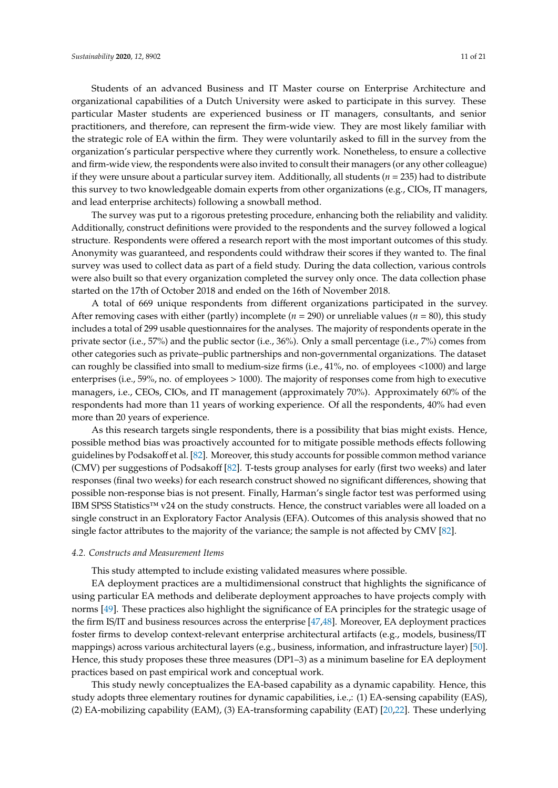Students of an advanced Business and IT Master course on Enterprise Architecture and organizational capabilities of a Dutch University were asked to participate in this survey. These particular Master students are experienced business or IT managers, consultants, and senior practitioners, and therefore, can represent the firm-wide view. They are most likely familiar with the strategic role of EA within the firm. They were voluntarily asked to fill in the survey from the organization's particular perspective where they currently work. Nonetheless, to ensure a collective and firm-wide view, the respondents were also invited to consult their managers (or any other colleague) if they were unsure about a particular survey item. Additionally, all students (*n* = 235) had to distribute this survey to two knowledgeable domain experts from other organizations (e.g., CIOs, IT managers, and lead enterprise architects) following a snowball method.

The survey was put to a rigorous pretesting procedure, enhancing both the reliability and validity. Additionally, construct definitions were provided to the respondents and the survey followed a logical structure. Respondents were offered a research report with the most important outcomes of this study. Anonymity was guaranteed, and respondents could withdraw their scores if they wanted to. The final survey was used to collect data as part of a field study. During the data collection, various controls were also built so that every organization completed the survey only once. The data collection phase started on the 17th of October 2018 and ended on the 16th of November 2018.

A total of 669 unique respondents from different organizations participated in the survey. After removing cases with either (partly) incomplete ( $n = 290$ ) or unreliable values ( $n = 80$ ), this study includes a total of 299 usable questionnaires for the analyses. The majority of respondents operate in the private sector (i.e., 57%) and the public sector (i.e., 36%). Only a small percentage (i.e., 7%) comes from other categories such as private–public partnerships and non-governmental organizations. The dataset can roughly be classified into small to medium-size firms (i.e., 41%, no. of employees <1000) and large enterprises (i.e., 59%, no. of employees > 1000). The majority of responses come from high to executive managers, i.e., CEOs, CIOs, and IT management (approximately 70%). Approximately 60% of the respondents had more than 11 years of working experience. Of all the respondents, 40% had even more than 20 years of experience.

As this research targets single respondents, there is a possibility that bias might exists. Hence, possible method bias was proactively accounted for to mitigate possible methods effects following guidelines by Podsakoff et al. [\[82\]](#page-19-14). Moreover, this study accounts for possible common method variance (CMV) per suggestions of Podsakoff [\[82\]](#page-19-14). T-tests group analyses for early (first two weeks) and later responses (final two weeks) for each research construct showed no significant differences, showing that possible non-response bias is not present. Finally, Harman's single factor test was performed using IBM SPSS Statistics™ v24 on the study constructs. Hence, the construct variables were all loaded on a single construct in an Exploratory Factor Analysis (EFA). Outcomes of this analysis showed that no single factor attributes to the majority of the variance; the sample is not affected by CMV [\[82\]](#page-19-14).

# *4.2. Constructs and Measurement Items*

This study attempted to include existing validated measures where possible.

EA deployment practices are a multidimensional construct that highlights the significance of using particular EA methods and deliberate deployment approaches to have projects comply with norms [\[49\]](#page-18-27). These practices also highlight the significance of EA principles for the strategic usage of the firm IS/IT and business resources across the enterprise [\[47](#page-18-13)[,48\]](#page-18-14). Moreover, EA deployment practices foster firms to develop context-relevant enterprise architectural artifacts (e.g., models, business/IT mappings) across various architectural layers (e.g., business, information, and infrastructure layer) [\[50\]](#page-18-17). Hence, this study proposes these three measures (DP1–3) as a minimum baseline for EA deployment practices based on past empirical work and conceptual work.

This study newly conceptualizes the EA-based capability as a dynamic capability. Hence, this study adopts three elementary routines for dynamic capabilities, i.e.,: (1) EA-sensing capability (EAS), (2) EA-mobilizing capability (EAM), (3) EA-transforming capability (EAT) [\[20,](#page-17-1)[22\]](#page-17-2). These underlying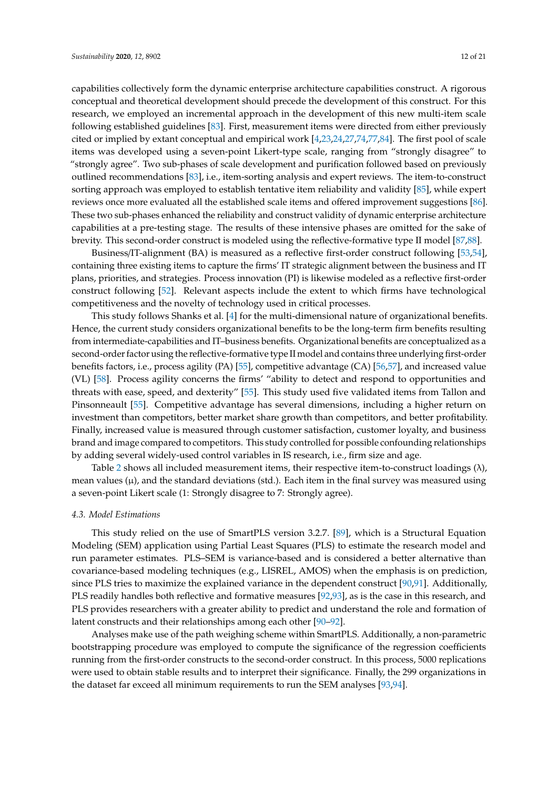capabilities collectively form the dynamic enterprise architecture capabilities construct. A rigorous conceptual and theoretical development should precede the development of this construct. For this research, we employed an incremental approach in the development of this new multi-item scale following established guidelines [\[83\]](#page-19-15). First, measurement items were directed from either previously cited or implied by extant conceptual and empirical work [\[4,](#page-16-2)[23,](#page-17-3)[24,](#page-17-4)[27,](#page-17-7)[74](#page-19-6)[,77](#page-19-9)[,84\]](#page-19-16). The first pool of scale items was developed using a seven-point Likert-type scale, ranging from "strongly disagree" to "strongly agree". Two sub-phases of scale development and purification followed based on previously outlined recommendations [\[83\]](#page-19-15), i.e., item-sorting analysis and expert reviews. The item-to-construct sorting approach was employed to establish tentative item reliability and validity [\[85\]](#page-19-17), while expert reviews once more evaluated all the established scale items and offered improvement suggestions [\[86\]](#page-19-18). These two sub-phases enhanced the reliability and construct validity of dynamic enterprise architecture capabilities at a pre-testing stage. The results of these intensive phases are omitted for the sake of brevity. This second-order construct is modeled using the reflective-formative type II model [\[87](#page-19-19)[,88\]](#page-19-20).

Business/IT-alignment (BA) is measured as a reflective first-order construct following [\[53,](#page-18-21)[54\]](#page-18-28), containing three existing items to capture the firms' IT strategic alignment between the business and IT plans, priorities, and strategies. Process innovation (PI) is likewise modeled as a reflective first-order construct following [\[52\]](#page-18-29). Relevant aspects include the extent to which firms have technological competitiveness and the novelty of technology used in critical processes.

This study follows Shanks et al. [\[4\]](#page-16-2) for the multi-dimensional nature of organizational benefits. Hence, the current study considers organizational benefits to be the long-term firm benefits resulting from intermediate-capabilities and IT–business benefits. Organizational benefits are conceptualized as a second-order factor using the reflective-formative type II model and contains three underlying first-order benefits factors, i.e., process agility (PA) [\[55\]](#page-18-24), competitive advantage (CA) [\[56](#page-18-30)[,57\]](#page-18-31), and increased value (VL) [\[58\]](#page-18-32). Process agility concerns the firms' "ability to detect and respond to opportunities and threats with ease, speed, and dexterity" [\[55\]](#page-18-24). This study used five validated items from Tallon and Pinsonneault [\[55\]](#page-18-24). Competitive advantage has several dimensions, including a higher return on investment than competitors, better market share growth than competitors, and better profitability. Finally, increased value is measured through customer satisfaction, customer loyalty, and business brand and image compared to competitors. This study controlled for possible confounding relationships by adding several widely-used control variables in IS research, i.e., firm size and age.

Table [2](#page-8-0) shows all included measurement items, their respective item-to-construct loadings (λ), mean values  $(\mu)$ , and the standard deviations (std.). Each item in the final survey was measured using a seven-point Likert scale (1: Strongly disagree to 7: Strongly agree).

# *4.3. Model Estimations*

This study relied on the use of SmartPLS version 3.2.7. [\[89\]](#page-19-21), which is a Structural Equation Modeling (SEM) application using Partial Least Squares (PLS) to estimate the research model and run parameter estimates. PLS–SEM is variance-based and is considered a better alternative than covariance-based modeling techniques (e.g., LISREL, AMOS) when the emphasis is on prediction, since PLS tries to maximize the explained variance in the dependent construct [\[90](#page-19-22)[,91\]](#page-19-23). Additionally, PLS readily handles both reflective and formative measures [\[92](#page-20-0)[,93\]](#page-20-1), as is the case in this research, and PLS provides researchers with a greater ability to predict and understand the role and formation of latent constructs and their relationships among each other [\[90–](#page-19-22)[92\]](#page-20-0).

Analyses make use of the path weighing scheme within SmartPLS. Additionally, a non-parametric bootstrapping procedure was employed to compute the significance of the regression coefficients running from the first-order constructs to the second-order construct. In this process, 5000 replications were used to obtain stable results and to interpret their significance. Finally, the 299 organizations in the dataset far exceed all minimum requirements to run the SEM analyses [\[93,](#page-20-1)[94\]](#page-20-2).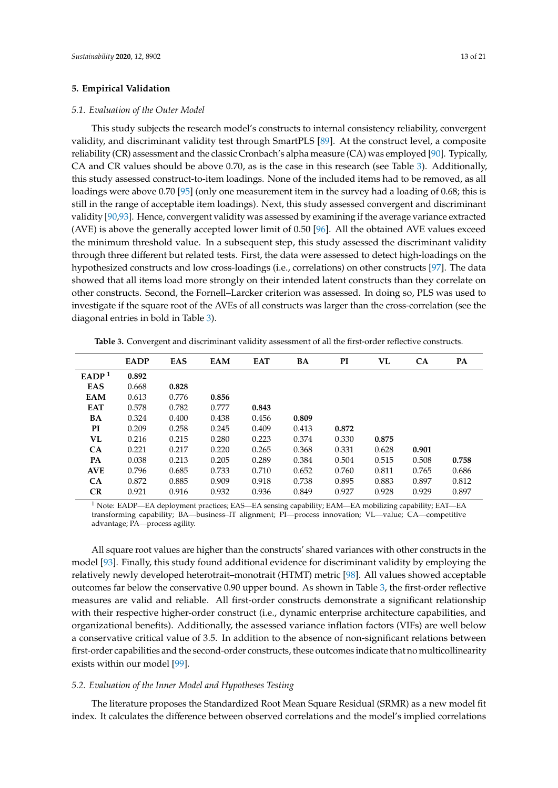# **5. Empirical Validation**

# *5.1. Evaluation of the Outer Model*

This study subjects the research model's constructs to internal consistency reliability, convergent validity, and discriminant validity test through SmartPLS [\[89\]](#page-19-21). At the construct level, a composite reliability (CR) assessment and the classic Cronbach's alpha measure (CA) was employed [\[90\]](#page-19-22). Typically, CA and CR values should be above 0.70, as is the case in this research (see Table [3\)](#page-12-0). Additionally, this study assessed construct-to-item loadings. None of the included items had to be removed, as all loadings were above 0.70 [\[95\]](#page-20-3) (only one measurement item in the survey had a loading of 0.68; this is still in the range of acceptable item loadings). Next, this study assessed convergent and discriminant validity [\[90](#page-19-22)[,93\]](#page-20-1). Hence, convergent validity was assessed by examining if the average variance extracted (AVE) is above the generally accepted lower limit of 0.50 [\[96\]](#page-20-4). All the obtained AVE values exceed the minimum threshold value. In a subsequent step, this study assessed the discriminant validity through three different but related tests. First, the data were assessed to detect high-loadings on the hypothesized constructs and low cross-loadings (i.e., correlations) on other constructs [\[97\]](#page-20-5). The data showed that all items load more strongly on their intended latent constructs than they correlate on other constructs. Second, the Fornell–Larcker criterion was assessed. In doing so, PLS was used to investigate if the square root of the AVEs of all constructs was larger than the cross-correlation (see the diagonal entries in bold in Table [3\)](#page-12-0).

<span id="page-12-0"></span>**Table 3.** Convergent and discriminant validity assessment of all the first-order reflective constructs.

|                   | <b>EADP</b> | EAS   | <b>EAM</b> | <b>EAT</b> | BA    | PI    | VL    | CA    | PA    |
|-------------------|-------------|-------|------------|------------|-------|-------|-------|-------|-------|
| EADP <sup>1</sup> | 0.892       |       |            |            |       |       |       |       |       |
| <b>EAS</b>        | 0.668       | 0.828 |            |            |       |       |       |       |       |
| <b>EAM</b>        | 0.613       | 0.776 | 0.856      |            |       |       |       |       |       |
| <b>EAT</b>        | 0.578       | 0.782 | 0.777      | 0.843      |       |       |       |       |       |
| BA                | 0.324       | 0.400 | 0.438      | 0.456      | 0.809 |       |       |       |       |
| PI                | 0.209       | 0.258 | 0.245      | 0.409      | 0.413 | 0.872 |       |       |       |
| VL                | 0.216       | 0.215 | 0.280      | 0.223      | 0.374 | 0.330 | 0.875 |       |       |
| CA                | 0.221       | 0.217 | 0.220      | 0.265      | 0.368 | 0.331 | 0.628 | 0.901 |       |
| PA                | 0.038       | 0.213 | 0.205      | 0.289      | 0.384 | 0.504 | 0.515 | 0.508 | 0.758 |
| <b>AVE</b>        | 0.796       | 0.685 | 0.733      | 0.710      | 0.652 | 0.760 | 0.811 | 0.765 | 0.686 |
| CA                | 0.872       | 0.885 | 0.909      | 0.918      | 0.738 | 0.895 | 0.883 | 0.897 | 0.812 |
| <b>CR</b>         | 0.921       | 0.916 | 0.932      | 0.936      | 0.849 | 0.927 | 0.928 | 0.929 | 0.897 |

<sup>1</sup> Note: EADP—EA deployment practices; EAS—EA sensing capability; EAM—EA mobilizing capability; EAT—EA transforming capability; BA—business–IT alignment; PI—process innovation; VL—value; CA—competitive advantage; PA—process agility.

All square root values are higher than the constructs' shared variances with other constructs in the model [\[93\]](#page-20-1). Finally, this study found additional evidence for discriminant validity by employing the relatively newly developed heterotrait–monotrait (HTMT) metric [\[98\]](#page-20-6). All values showed acceptable outcomes far below the conservative 0.90 upper bound. As shown in Table [3,](#page-12-0) the first-order reflective measures are valid and reliable. All first-order constructs demonstrate a significant relationship with their respective higher-order construct (i.e., dynamic enterprise architecture capabilities, and organizational benefits). Additionally, the assessed variance inflation factors (VIFs) are well below a conservative critical value of 3.5. In addition to the absence of non-significant relations between first-order capabilities and the second-order constructs, these outcomes indicate that no multicollinearity exists within our model [\[99\]](#page-20-7).

# *5.2. Evaluation of the Inner Model and Hypotheses Testing*

The literature proposes the Standardized Root Mean Square Residual (SRMR) as a new model fit index. It calculates the difference between observed correlations and the model's implied correlations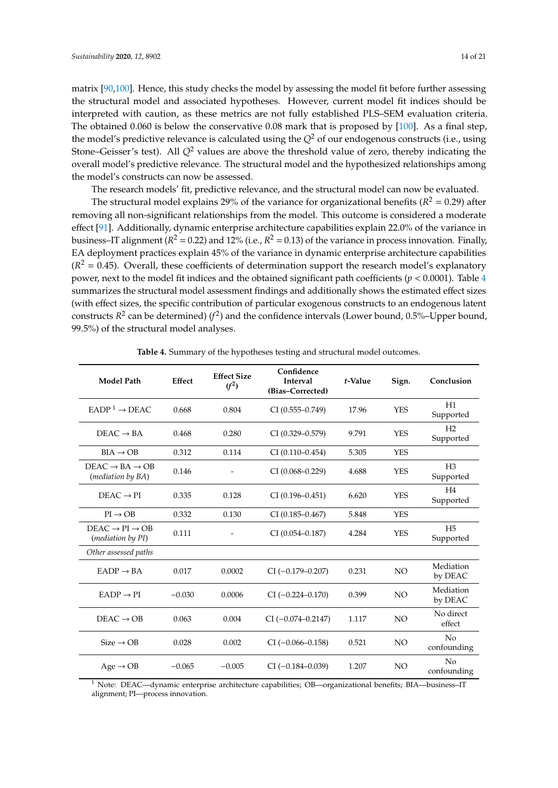matrix [\[90,](#page-19-22)[100\]](#page-20-8). Hence, this study checks the model by assessing the model fit before further assessing the structural model and associated hypotheses. However, current model fit indices should be interpreted with caution, as these metrics are not fully established PLS–SEM evaluation criteria. The obtained 0.060 is below the conservative 0.08 mark that is proposed by [\[100\]](#page-20-8). As a final step, the model's predictive relevance is calculated using the  $Q^2$  of our endogenous constructs (i.e., using Stone–Geisser's test). All *Q*<sup>2</sup> values are above the threshold value of zero, thereby indicating the overall model's predictive relevance. The structural model and the hypothesized relationships among the model's constructs can now be assessed.

The research models' fit, predictive relevance, and the structural model can now be evaluated.

The structural model explains 29% of the variance for organizational benefits ( $R^2 = 0.29$ ) after removing all non-significant relationships from the model. This outcome is considered a moderate effect [\[91\]](#page-19-23). Additionally, dynamic enterprise architecture capabilities explain 22.0% of the variance in business–IT alignment ( $R^2$  = 0.22) and 12% (i.e.,  $R^2$  = 0.13) of the variance in process innovation. Finally, EA deployment practices explain 45% of the variance in dynamic enterprise architecture capabilities  $(R<sup>2</sup> = 0.45)$ . Overall, these coefficients of determination support the research model's explanatory power, next to the model fit indices and the obtained significant path coefficients ( $p < 0.0001$ ). Table [4](#page-13-0) summarizes the structural model assessment findings and additionally shows the estimated effect sizes (with effect sizes, the specific contribution of particular exogenous constructs to an endogenous latent constructs  $R^2$  can be determined)  $(f^2)$  and the confidence intervals (Lower bound, 0.5%–Upper bound, 99.5%) of the structural model analyses.

<span id="page-13-0"></span>

| Effect<br><b>Model Path</b>                                        |          | Confidence<br><b>Effect Size</b><br><b>Interval</b><br>$(f^2)$<br>(Bias-Corrected) |                        | t-Value | Sign.           | Conclusion                    |  |
|--------------------------------------------------------------------|----------|------------------------------------------------------------------------------------|------------------------|---------|-----------------|-------------------------------|--|
| $EADP1 \rightarrow DEAC$                                           | 0.668    | 0.804                                                                              | $CI(0.555 - 0.749)$    | 17.96   | <b>YES</b>      | H1<br>Supported               |  |
| $DEAC \rightarrow BA$                                              | 0.468    | 0.280                                                                              | $CI (0.329 - 0.579)$   | 9.791   | <b>YES</b>      | H <sub>2</sub><br>Supported   |  |
| $BIA \rightarrow OB$                                               | 0.312    | 0.114                                                                              | $CI (0.110 - 0.454)$   | 5.305   | <b>YES</b>      |                               |  |
| $DEAC \rightarrow BA \rightarrow OB$<br>( <i>mediation by BA</i> ) | 0.146    |                                                                                    | CI (0.068-0.229)       | 4.688   | <b>YES</b>      | H <sub>3</sub><br>Supported   |  |
| $DEAC \rightarrow PI$                                              | 0.335    | 0.128                                                                              | $CI (0.196 - 0.451)$   | 6.620   | <b>YES</b>      | H4<br>Supported               |  |
| $PI \rightarrow OB$                                                | 0.332    | 0.130                                                                              | $CI (0.185 - 0.467)$   | 5.848   | <b>YES</b>      |                               |  |
| $DEAC \rightarrow PI \rightarrow OB$<br>(mediation by PI)          | 0.111    |                                                                                    | $CI (0.054 - 0.187)$   | 4.284   | <b>YES</b>      | H <sub>5</sub><br>Supported   |  |
| Other assessed paths                                               |          |                                                                                    |                        |         |                 |                               |  |
| $EADP \rightarrow BA$                                              | 0.017    | 0.0002                                                                             | $CI (-0.179 - 0.207)$  | 0.231   | NO.             | Mediation<br>by DEAC          |  |
| $EADP \rightarrow PI$                                              | $-0.030$ | 0.0006                                                                             | $CI (-0.224 - 0.170)$  | 0.399   | NO <sub>1</sub> | Mediation<br>by DEAC          |  |
| $DEAC \rightarrow OB$                                              | 0.063    | 0.004                                                                              | $CI (-0.074 - 0.2147)$ | 1.117   | NO <sub>1</sub> | No direct<br>effect           |  |
| $Size \rightarrow OB$                                              | 0.028    | 0.002                                                                              | $CI (-0.066 - 0.158)$  | 0.521   | NO <sub>1</sub> | N <sub>0</sub><br>confounding |  |
| $Age \rightarrow OB$                                               | $-0.065$ | $-0.005$                                                                           | $CI (-0.184 - 0.039)$  | 1.207   | NO.             | N <sub>0</sub><br>confounding |  |

**Table 4.** Summary of the hypotheses testing and structural model outcomes.

<sup>1</sup> Note: DEAC—dynamic enterprise architecture capabilities; OB—organizational benefits; BIA—business–IT alignment; PI—process innovation.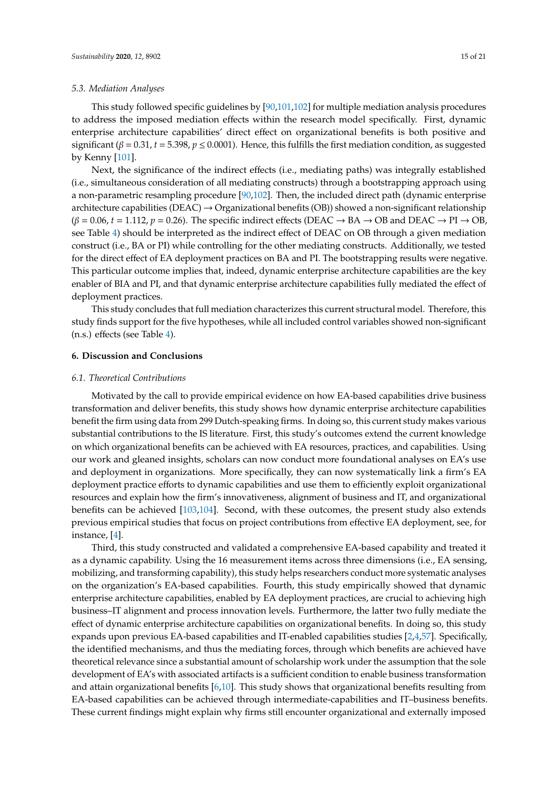# *5.3. Mediation Analyses*

This study followed specific guidelines by [\[90,](#page-19-22)[101](#page-20-9)[,102\]](#page-20-10) for multiple mediation analysis procedures to address the imposed mediation effects within the research model specifically. First, dynamic enterprise architecture capabilities' direct effect on organizational benefits is both positive and significant ( $\beta = 0.31$ ,  $t = 5.398$ ,  $p \le 0.0001$ ). Hence, this fulfills the first mediation condition, as suggested by Kenny [\[101\]](#page-20-9).

Next, the significance of the indirect effects (i.e., mediating paths) was integrally established (i.e., simultaneous consideration of all mediating constructs) through a bootstrapping approach using a non-parametric resampling procedure [\[90](#page-19-22)[,102\]](#page-20-10). Then, the included direct path (dynamic enterprise architecture capabilities ( $DEAC$ )  $\rightarrow$  Organizational benefits (OB)) showed a non-significant relationship  $(\beta = 0.06, t = 1.112, p = 0.26)$ . The specific indirect effects (DEAC  $\rightarrow$  BA  $\rightarrow$  OB and DEAC  $\rightarrow$  PI  $\rightarrow$  OB, see Table [4\)](#page-13-0) should be interpreted as the indirect effect of DEAC on OB through a given mediation construct (i.e., BA or PI) while controlling for the other mediating constructs. Additionally, we tested for the direct effect of EA deployment practices on BA and PI. The bootstrapping results were negative. This particular outcome implies that, indeed, dynamic enterprise architecture capabilities are the key enabler of BIA and PI, and that dynamic enterprise architecture capabilities fully mediated the effect of deployment practices.

This study concludes that full mediation characterizes this current structural model. Therefore, this study finds support for the five hypotheses, while all included control variables showed non-significant (n.s.) effects (see Table [4\)](#page-13-0).

#### **6. Discussion and Conclusions**

# *6.1. Theoretical Contributions*

Motivated by the call to provide empirical evidence on how EA-based capabilities drive business transformation and deliver benefits, this study shows how dynamic enterprise architecture capabilities benefit the firm using data from 299 Dutch-speaking firms. In doing so, this current study makes various substantial contributions to the IS literature. First, this study's outcomes extend the current knowledge on which organizational benefits can be achieved with EA resources, practices, and capabilities. Using our work and gleaned insights, scholars can now conduct more foundational analyses on EA's use and deployment in organizations. More specifically, they can now systematically link a firm's EA deployment practice efforts to dynamic capabilities and use them to efficiently exploit organizational resources and explain how the firm's innovativeness, alignment of business and IT, and organizational benefits can be achieved [\[103,](#page-20-11)[104\]](#page-20-12). Second, with these outcomes, the present study also extends previous empirical studies that focus on project contributions from effective EA deployment, see, for instance, [\[4\]](#page-16-2).

Third, this study constructed and validated a comprehensive EA-based capability and treated it as a dynamic capability. Using the 16 measurement items across three dimensions (i.e., EA sensing, mobilizing, and transforming capability), this study helps researchers conduct more systematic analyses on the organization's EA-based capabilities. Fourth, this study empirically showed that dynamic enterprise architecture capabilities, enabled by EA deployment practices, are crucial to achieving high business–IT alignment and process innovation levels. Furthermore, the latter two fully mediate the effect of dynamic enterprise architecture capabilities on organizational benefits. In doing so, this study expands upon previous EA-based capabilities and IT-enabled capabilities studies [\[2](#page-16-1)[,4](#page-16-2)[,57\]](#page-18-31). Specifically, the identified mechanisms, and thus the mediating forces, through which benefits are achieved have theoretical relevance since a substantial amount of scholarship work under the assumption that the sole development of EA's with associated artifacts is a sufficient condition to enable business transformation and attain organizational benefits [\[6,](#page-16-11)[10\]](#page-16-12). This study shows that organizational benefits resulting from EA-based capabilities can be achieved through intermediate-capabilities and IT–business benefits. These current findings might explain why firms still encounter organizational and externally imposed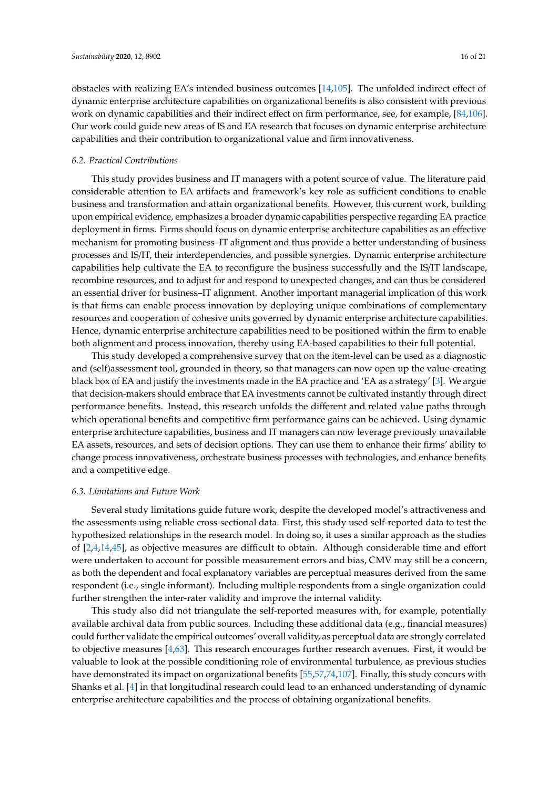obstacles with realizing EA's intended business outcomes [\[14](#page-16-9)[,105\]](#page-20-13). The unfolded indirect effect of dynamic enterprise architecture capabilities on organizational benefits is also consistent with previous work on dynamic capabilities and their indirect effect on firm performance, see, for example, [\[84](#page-19-16)[,106\]](#page-20-14). Our work could guide new areas of IS and EA research that focuses on dynamic enterprise architecture capabilities and their contribution to organizational value and firm innovativeness.

#### *6.2. Practical Contributions*

This study provides business and IT managers with a potent source of value. The literature paid considerable attention to EA artifacts and framework's key role as sufficient conditions to enable business and transformation and attain organizational benefits. However, this current work, building upon empirical evidence, emphasizes a broader dynamic capabilities perspective regarding EA practice deployment in firms. Firms should focus on dynamic enterprise architecture capabilities as an effective mechanism for promoting business–IT alignment and thus provide a better understanding of business processes and IS/IT, their interdependencies, and possible synergies. Dynamic enterprise architecture capabilities help cultivate the EA to reconfigure the business successfully and the IS/IT landscape, recombine resources, and to adjust for and respond to unexpected changes, and can thus be considered an essential driver for business–IT alignment. Another important managerial implication of this work is that firms can enable process innovation by deploying unique combinations of complementary resources and cooperation of cohesive units governed by dynamic enterprise architecture capabilities. Hence, dynamic enterprise architecture capabilities need to be positioned within the firm to enable both alignment and process innovation, thereby using EA-based capabilities to their full potential.

This study developed a comprehensive survey that on the item-level can be used as a diagnostic and (self)assessment tool, grounded in theory, so that managers can now open up the value-creating black box of EA and justify the investments made in the EA practice and 'EA as a strategy' [\[3\]](#page-16-4). We argue that decision-makers should embrace that EA investments cannot be cultivated instantly through direct performance benefits. Instead, this research unfolds the different and related value paths through which operational benefits and competitive firm performance gains can be achieved. Using dynamic enterprise architecture capabilities, business and IT managers can now leverage previously unavailable EA assets, resources, and sets of decision options. They can use them to enhance their firms' ability to change process innovativeness, orchestrate business processes with technologies, and enhance benefits and a competitive edge.

#### *6.3. Limitations and Future Work*

Several study limitations guide future work, despite the developed model's attractiveness and the assessments using reliable cross-sectional data. First, this study used self-reported data to test the hypothesized relationships in the research model. In doing so, it uses a similar approach as the studies of [\[2,](#page-16-1)[4,](#page-16-2)[14,](#page-16-9)[45\]](#page-18-3), as objective measures are difficult to obtain. Although considerable time and effort were undertaken to account for possible measurement errors and bias, CMV may still be a concern, as both the dependent and focal explanatory variables are perceptual measures derived from the same respondent (i.e., single informant). Including multiple respondents from a single organization could further strengthen the inter-rater validity and improve the internal validity.

This study also did not triangulate the self-reported measures with, for example, potentially available archival data from public sources. Including these additional data (e.g., financial measures) could further validate the empirical outcomes' overall validity, as perceptual data are strongly correlated to objective measures [\[4](#page-16-2)[,63\]](#page-18-20). This research encourages further research avenues. First, it would be valuable to look at the possible conditioning role of environmental turbulence, as previous studies have demonstrated its impact on organizational benefits [\[55](#page-18-24)[,57,](#page-18-31)[74,](#page-19-6)[107\]](#page-20-15). Finally, this study concurs with Shanks et al. [\[4\]](#page-16-2) in that longitudinal research could lead to an enhanced understanding of dynamic enterprise architecture capabilities and the process of obtaining organizational benefits.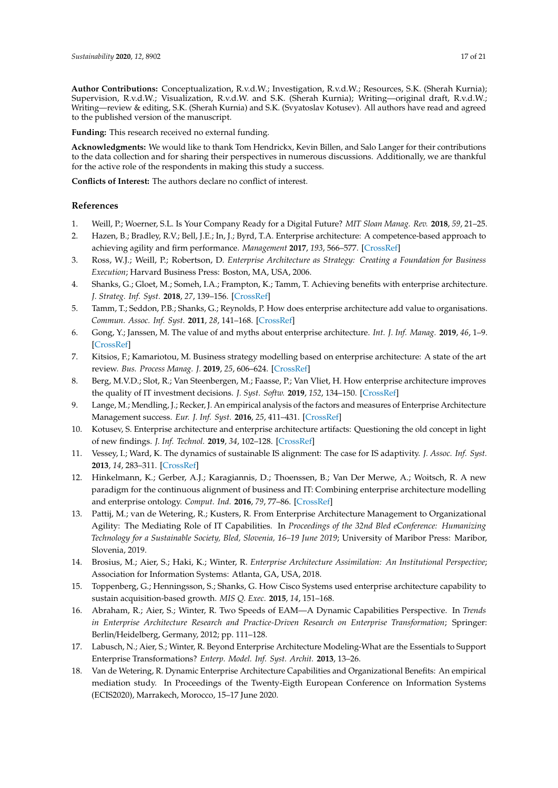**Author Contributions:** Conceptualization, R.v.d.W.; Investigation, R.v.d.W.; Resources, S.K. (Sherah Kurnia); Supervision, R.v.d.W.; Visualization, R.v.d.W. and S.K. (Sherah Kurnia); Writing—original draft, R.v.d.W.; Writing—review & editing, S.K. (Sherah Kurnia) and S.K. (Svyatoslav Kotusev). All authors have read and agreed to the published version of the manuscript.

**Funding:** This research received no external funding.

**Acknowledgments:** We would like to thank Tom Hendrickx, Kevin Billen, and Salo Langer for their contributions to the data collection and for sharing their perspectives in numerous discussions. Additionally, we are thankful for the active role of the respondents in making this study a success.

**Conflicts of Interest:** The authors declare no conflict of interest.

# **References**

- <span id="page-16-0"></span>1. Weill, P.; Woerner, S.L. Is Your Company Ready for a Digital Future? *MIT Sloan Manag. Rev.* **2018**, *59*, 21–25.
- <span id="page-16-1"></span>2. Hazen, B.; Bradley, R.V.; Bell, J.E.; In, J.; Byrd, T.A. Enterprise architecture: A competence-based approach to achieving agility and firm performance. *Management* **2017**, *193*, 566–577. [\[CrossRef\]](http://dx.doi.org/10.1016/j.ijpe.2017.08.022)
- <span id="page-16-4"></span>3. Ross, W.J.; Weill, P.; Robertson, D. *Enterprise Architecture as Strategy: Creating a Foundation for Business Execution*; Harvard Business Press: Boston, MA, USA, 2006.
- <span id="page-16-2"></span>4. Shanks, G.; Gloet, M.; Someh, I.A.; Frampton, K.; Tamm, T. Achieving benefits with enterprise architecture. *J. Strateg. Inf. Syst.* **2018**, *27*, 139–156. [\[CrossRef\]](http://dx.doi.org/10.1016/j.jsis.2018.03.001)
- <span id="page-16-3"></span>5. Tamm, T.; Seddon, P.B.; Shanks, G.; Reynolds, P. How does enterprise architecture add value to organisations. *Commun. Assoc. Inf. Syst.* **2011**, *28*, 141–168. [\[CrossRef\]](http://dx.doi.org/10.17705/1CAIS.02810)
- <span id="page-16-11"></span>6. Gong, Y.; Janssen, M. The value of and myths about enterprise architecture. *Int. J. Inf. Manag.* **2019**, *46*, 1–9. [\[CrossRef\]](http://dx.doi.org/10.1016/j.ijinfomgt.2018.11.006)
- 7. Kitsios, F.; Kamariotou, M. Business strategy modelling based on enterprise architecture: A state of the art review. *Bus. Process Manag. J.* **2019**, *25*, 606–624. [\[CrossRef\]](http://dx.doi.org/10.1108/BPMJ-05-2017-0122)
- <span id="page-16-5"></span>8. Berg, M.V.D.; Slot, R.; Van Steenbergen, M.; Faasse, P.; Van Vliet, H. How enterprise architecture improves the quality of IT investment decisions. *J. Syst. Softw.* **2019**, *152*, 134–150. [\[CrossRef\]](http://dx.doi.org/10.1016/j.jss.2019.02.053)
- <span id="page-16-6"></span>9. Lange, M.; Mendling, J.; Recker, J. An empirical analysis of the factors and measures of Enterprise Architecture Management success. *Eur. J. Inf. Syst.* **2016**, *25*, 411–431. [\[CrossRef\]](http://dx.doi.org/10.1057/ejis.2014.39)
- <span id="page-16-12"></span>10. Kotusev, S. Enterprise architecture and enterprise architecture artifacts: Questioning the old concept in light of new findings. *J. Inf. Technol.* **2019**, *34*, 102–128. [\[CrossRef\]](http://dx.doi.org/10.1177/0268396218816273)
- <span id="page-16-7"></span>11. Vessey, I.; Ward, K. The dynamics of sustainable IS alignment: The case for IS adaptivity. *J. Assoc. Inf. Syst.* **2013**, *14*, 283–311. [\[CrossRef\]](http://dx.doi.org/10.17705/1jais.00336)
- <span id="page-16-13"></span>12. Hinkelmann, K.; Gerber, A.J.; Karagiannis, D.; Thoenssen, B.; Van Der Merwe, A.; Woitsch, R. A new paradigm for the continuous alignment of business and IT: Combining enterprise architecture modelling and enterprise ontology. *Comput. Ind.* **2016**, *79*, 77–86. [\[CrossRef\]](http://dx.doi.org/10.1016/j.compind.2015.07.009)
- <span id="page-16-8"></span>13. Pattij, M.; van de Wetering, R.; Kusters, R. From Enterprise Architecture Management to Organizational Agility: The Mediating Role of IT Capabilities. In *Proceedings of the 32nd Bled eConference: Humanizing Technology for a Sustainable Society, Bled, Slovenia, 16–19 June 2019*; University of Maribor Press: Maribor, Slovenia, 2019.
- <span id="page-16-9"></span>14. Brosius, M.; Aier, S.; Haki, K.; Winter, R. *Enterprise Architecture Assimilation: An Institutional Perspective*; Association for Information Systems: Atlanta, GA, USA, 2018.
- <span id="page-16-10"></span>15. Toppenberg, G.; Henningsson, S.; Shanks, G. How Cisco Systems used enterprise architecture capability to sustain acquisition-based growth. *MIS Q. Exec.* **2015**, *14*, 151–168.
- 16. Abraham, R.; Aier, S.; Winter, R. Two Speeds of EAM—A Dynamic Capabilities Perspective. In *Trends in Enterprise Architecture Research and Practice-Driven Research on Enterprise Transformation*; Springer: Berlin/Heidelberg, Germany, 2012; pp. 111–128.
- 17. Labusch, N.; Aier, S.; Winter, R. Beyond Enterprise Architecture Modeling-What are the Essentials to Support Enterprise Transformations? *Enterp. Model. Inf. Syst. Archit.* **2013**, 13–26.
- 18. Van de Wetering, R. Dynamic Enterprise Architecture Capabilities and Organizational Benefits: An empirical mediation study. In Proceedings of the Twenty-Eigth European Conference on Information Systems (ECIS2020), Marrakech, Morocco, 15–17 June 2020.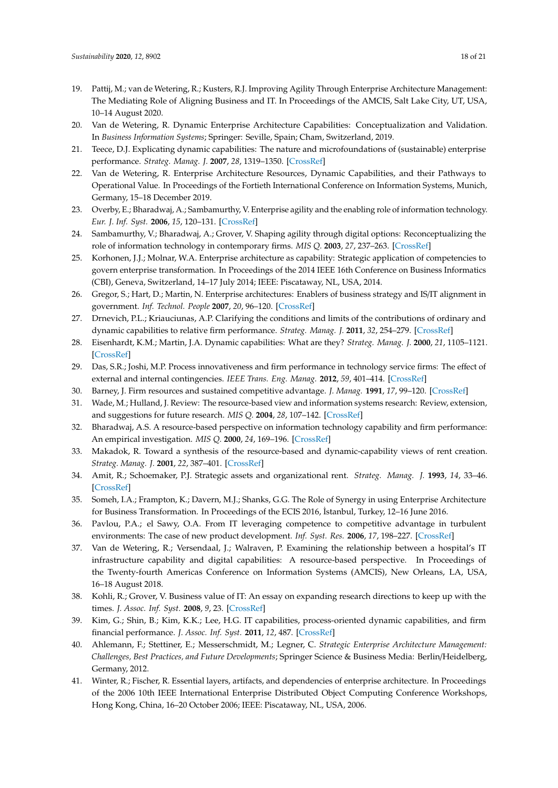- <span id="page-17-0"></span>19. Pattij, M.; van de Wetering, R.; Kusters, R.J. Improving Agility Through Enterprise Architecture Management: The Mediating Role of Aligning Business and IT. In Proceedings of the AMCIS, Salt Lake City, UT, USA, 10–14 August 2020.
- <span id="page-17-1"></span>20. Van de Wetering, R. Dynamic Enterprise Architecture Capabilities: Conceptualization and Validation. In *Business Information Systems*; Springer: Seville, Spain; Cham, Switzerland, 2019.
- <span id="page-17-22"></span>21. Teece, D.J. Explicating dynamic capabilities: The nature and microfoundations of (sustainable) enterprise performance. *Strateg. Manag. J.* **2007**, *28*, 1319–1350. [\[CrossRef\]](http://dx.doi.org/10.1002/smj.640)
- <span id="page-17-2"></span>22. Van de Wetering, R. Enterprise Architecture Resources, Dynamic Capabilities, and their Pathways to Operational Value. In Proceedings of the Fortieth International Conference on Information Systems, Munich, Germany, 15–18 December 2019.
- <span id="page-17-3"></span>23. Overby, E.; Bharadwaj, A.; Sambamurthy, V. Enterprise agility and the enabling role of information technology. *Eur. J. Inf. Syst.* **2006**, *15*, 120–131. [\[CrossRef\]](http://dx.doi.org/10.1057/palgrave.ejis.3000600)
- <span id="page-17-4"></span>24. Sambamurthy, V.; Bharadwaj, A.; Grover, V. Shaping agility through digital options: Reconceptualizing the role of information technology in contemporary firms. *MIS Q.* **2003**, *27*, 237–263. [\[CrossRef\]](http://dx.doi.org/10.2307/30036530)
- <span id="page-17-5"></span>25. Korhonen, J.J.; Molnar, W.A. Enterprise architecture as capability: Strategic application of competencies to govern enterprise transformation. In Proceedings of the 2014 IEEE 16th Conference on Business Informatics (CBI), Geneva, Switzerland, 14–17 July 2014; IEEE: Piscataway, NL, USA, 2014.
- <span id="page-17-6"></span>26. Gregor, S.; Hart, D.; Martin, N. Enterprise architectures: Enablers of business strategy and IS/IT alignment in government. *Inf. Technol. People* **2007**, *20*, 96–120. [\[CrossRef\]](http://dx.doi.org/10.1108/09593840710758031)
- <span id="page-17-7"></span>27. Drnevich, P.L.; Kriauciunas, A.P. Clarifying the conditions and limits of the contributions of ordinary and dynamic capabilities to relative firm performance. *Strateg. Manag. J.* **2011**, *32*, 254–279. [\[CrossRef\]](http://dx.doi.org/10.1002/smj.882)
- <span id="page-17-8"></span>28. Eisenhardt, K.M.; Martin, J.A. Dynamic capabilities: What are they? *Strateg. Manag. J.* **2000**, *21*, 1105–1121. [\[CrossRef\]](http://dx.doi.org/10.1002/1097-0266(200010/11)21:10/11<1105::AID-SMJ133>3.0.CO;2-E)
- <span id="page-17-9"></span>29. Das, S.R.; Joshi, M.P. Process innovativeness and firm performance in technology service firms: The effect of external and internal contingencies. *IEEE Trans. Eng. Manag.* **2012**, *59*, 401–414. [\[CrossRef\]](http://dx.doi.org/10.1109/TEM.2011.2157163)
- <span id="page-17-10"></span>30. Barney, J. Firm resources and sustained competitive advantage. *J. Manag.* **1991**, *17*, 99–120. [\[CrossRef\]](http://dx.doi.org/10.1177/014920639101700108)
- <span id="page-17-11"></span>31. Wade, M.; Hulland, J. Review: The resource-based view and information systems research: Review, extension, and suggestions for future research. *MIS Q.* **2004**, *28*, 107–142. [\[CrossRef\]](http://dx.doi.org/10.2307/25148626)
- <span id="page-17-12"></span>32. Bharadwaj, A.S. A resource-based perspective on information technology capability and firm performance: An empirical investigation. *MIS Q.* **2000**, *24*, 169–196. [\[CrossRef\]](http://dx.doi.org/10.2307/3250983)
- <span id="page-17-13"></span>33. Makadok, R. Toward a synthesis of the resource-based and dynamic-capability views of rent creation. *Strateg. Manag. J.* **2001**, *22*, 387–401. [\[CrossRef\]](http://dx.doi.org/10.1002/smj.158)
- <span id="page-17-14"></span>34. Amit, R.; Schoemaker, P.J. Strategic assets and organizational rent. *Strateg. Manag. J.* **1993**, *14*, 33–46. [\[CrossRef\]](http://dx.doi.org/10.1002/smj.4250140105)
- <span id="page-17-15"></span>35. Someh, I.A.; Frampton, K.; Davern, M.J.; Shanks, G.G. The Role of Synergy in using Enterprise Architecture for Business Transformation. In Proceedings of the ECIS 2016, İstanbul, Turkey, 12–16 June 2016.
- <span id="page-17-16"></span>36. Pavlou, P.A.; el Sawy, O.A. From IT leveraging competence to competitive advantage in turbulent environments: The case of new product development. *Inf. Syst. Res.* **2006**, *17*, 198–227. [\[CrossRef\]](http://dx.doi.org/10.1287/isre.1060.0094)
- <span id="page-17-17"></span>37. Van de Wetering, R.; Versendaal, J.; Walraven, P. Examining the relationship between a hospital's IT infrastructure capability and digital capabilities: A resource-based perspective. In Proceedings of the Twenty-fourth Americas Conference on Information Systems (AMCIS), New Orleans, LA, USA, 16–18 August 2018.
- <span id="page-17-18"></span>38. Kohli, R.; Grover, V. Business value of IT: An essay on expanding research directions to keep up with the times. *J. Assoc. Inf. Syst.* **2008**, *9*, 23. [\[CrossRef\]](http://dx.doi.org/10.17705/1jais.00147)
- <span id="page-17-19"></span>39. Kim, G.; Shin, B.; Kim, K.K.; Lee, H.G. IT capabilities, process-oriented dynamic capabilities, and firm financial performance. *J. Assoc. Inf. Syst.* **2011**, *12*, 487. [\[CrossRef\]](http://dx.doi.org/10.17705/1jais.00270)
- <span id="page-17-20"></span>40. Ahlemann, F.; Stettiner, E.; Messerschmidt, M.; Legner, C. *Strategic Enterprise Architecture Management: Challenges, Best Practices, and Future Developments*; Springer Science & Business Media: Berlin/Heidelberg, Germany, 2012.
- <span id="page-17-21"></span>41. Winter, R.; Fischer, R. Essential layers, artifacts, and dependencies of enterprise architecture. In Proceedings of the 2006 10th IEEE International Enterprise Distributed Object Computing Conference Workshops, Hong Kong, China, 16–20 October 2006; IEEE: Piscataway, NL, USA, 2006.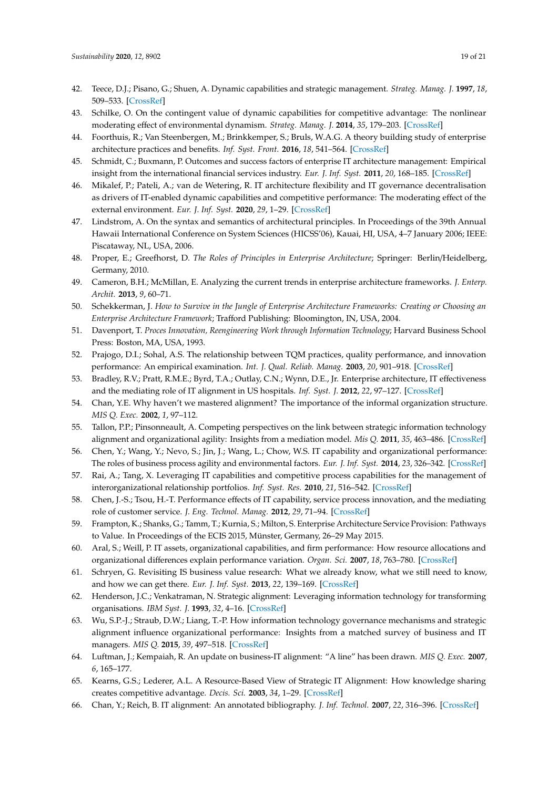- <span id="page-18-7"></span><span id="page-18-6"></span><span id="page-18-5"></span><span id="page-18-0"></span>42. Teece, D.J.; Pisano, G.; Shuen, A. Dynamic capabilities and strategic management. *Strateg. Manag. J.* **1997**, *18*, 509–533. [\[CrossRef\]](http://dx.doi.org/10.1002/(SICI)1097-0266(199708)18:7<509::AID-SMJ882>3.0.CO;2-Z)
- <span id="page-18-8"></span><span id="page-18-1"></span>43. Schilke, O. On the contingent value of dynamic capabilities for competitive advantage: The nonlinear moderating effect of environmental dynamism. *Strateg. Manag. J.* **2014**, *35*, 179–203. [\[CrossRef\]](http://dx.doi.org/10.1002/smj.2099)
- <span id="page-18-9"></span><span id="page-18-2"></span>44. Foorthuis, R.; Van Steenbergen, M.; Brinkkemper, S.; Bruls, W.A.G. A theory building study of enterprise architecture practices and benefits. *Inf. Syst. Front.* **2016**, *18*, 541–564. [\[CrossRef\]](http://dx.doi.org/10.1007/s10796-014-9542-1)
- <span id="page-18-10"></span><span id="page-18-3"></span>45. Schmidt, C.; Buxmann, P. Outcomes and success factors of enterprise IT architecture management: Empirical insight from the international financial services industry. *Eur. J. Inf. Syst.* **2011**, *20*, 168–185. [\[CrossRef\]](http://dx.doi.org/10.1057/ejis.2010.68)
- <span id="page-18-11"></span><span id="page-18-4"></span>46. Mikalef, P.; Pateli, A.; van de Wetering, R. IT architecture flexibility and IT governance decentralisation as drivers of IT-enabled dynamic capabilities and competitive performance: The moderating effect of the external environment. *Eur. J. Inf. Syst.* **2020**, *29*, 1–29. [\[CrossRef\]](http://dx.doi.org/10.1080/0960085X.2020.1808541)
- <span id="page-18-13"></span>47. Lindstrom, A. On the syntax and semantics of architectural principles. In Proceedings of the 39th Annual Hawaii International Conference on System Sciences (HICSS'06), Kauai, HI, USA, 4–7 January 2006; IEEE: Piscataway, NL, USA, 2006.
- <span id="page-18-14"></span><span id="page-18-12"></span>48. Proper, E.; Greefhorst, D. *The Roles of Principles in Enterprise Architecture*; Springer: Berlin/Heidelberg, Germany, 2010.
- <span id="page-18-27"></span>49. Cameron, B.H.; McMillan, E. Analyzing the current trends in enterprise architecture frameworks. *J. Enterp. Archit.* **2013**, *9*, 60–71.
- <span id="page-18-17"></span>50. Schekkerman, J. *How to Survive in the Jungle of Enterprise Architecture Frameworks: Creating or Choosing an Enterprise Architecture Framework*; Trafford Publishing: Bloomington, IN, USA, 2004.
- <span id="page-18-26"></span>51. Davenport, T. *Proces Innovation, Reengineering Work through Information Technology*; Harvard Business School Press: Boston, MA, USA, 1993.
- <span id="page-18-29"></span>52. Prajogo, D.I.; Sohal, A.S. The relationship between TQM practices, quality performance, and innovation performance: An empirical examination. *Int. J. Qual. Reliab. Manag.* **2003**, *20*, 901–918. [\[CrossRef\]](http://dx.doi.org/10.1108/02656710310493625)
- <span id="page-18-21"></span>53. Bradley, R.V.; Pratt, R.M.E.; Byrd, T.A.; Outlay, C.N.; Wynn, D.E., Jr. Enterprise architecture, IT effectiveness and the mediating role of IT alignment in US hospitals. *Inf. Syst. J.* **2012**, *22*, 97–127. [\[CrossRef\]](http://dx.doi.org/10.1111/j.1365-2575.2011.00379.x)
- <span id="page-18-28"></span>54. Chan, Y.E. Why haven't we mastered alignment? The importance of the informal organization structure. *MIS Q. Exec.* **2002**, *1*, 97–112.
- <span id="page-18-24"></span>55. Tallon, P.P.; Pinsonneault, A. Competing perspectives on the link between strategic information technology alignment and organizational agility: Insights from a mediation model. *Mis Q.* **2011**, *35*, 463–486. [\[CrossRef\]](http://dx.doi.org/10.2307/23044052)
- <span id="page-18-30"></span>56. Chen, Y.; Wang, Y.; Nevo, S.; Jin, J.; Wang, L.; Chow, W.S. IT capability and organizational performance: The roles of business process agility and environmental factors. *Eur. J. Inf. Syst.* **2014**, *23*, 326–342. [\[CrossRef\]](http://dx.doi.org/10.1057/ejis.2013.4)
- <span id="page-18-31"></span>57. Rai, A.; Tang, X. Leveraging IT capabilities and competitive process capabilities for the management of interorganizational relationship portfolios. *Inf. Syst. Res.* **2010**, *21*, 516–542. [\[CrossRef\]](http://dx.doi.org/10.1287/isre.1100.0299)
- <span id="page-18-32"></span>58. Chen, J.-S.; Tsou, H.-T. Performance effects of IT capability, service process innovation, and the mediating role of customer service. *J. Eng. Technol. Manag.* **2012**, *29*, 71–94. [\[CrossRef\]](http://dx.doi.org/10.1016/j.jengtecman.2011.09.007)
- <span id="page-18-15"></span>59. Frampton, K.; Shanks, G.; Tamm, T.; Kurnia, S.; Milton, S. Enterprise Architecture Service Provision: Pathways to Value. In Proceedings of the ECIS 2015, Münster, Germany, 26–29 May 2015.
- <span id="page-18-16"></span>60. Aral, S.; Weill, P. IT assets, organizational capabilities, and firm performance: How resource allocations and organizational differences explain performance variation. *Organ. Sci.* **2007**, *18*, 763–780. [\[CrossRef\]](http://dx.doi.org/10.1287/orsc.1070.0306)
- <span id="page-18-18"></span>61. Schryen, G. Revisiting IS business value research: What we already know, what we still need to know, and how we can get there. *Eur. J. Inf. Syst.* **2013**, *22*, 139–169. [\[CrossRef\]](http://dx.doi.org/10.1057/ejis.2012.45)
- <span id="page-18-19"></span>62. Henderson, J.C.; Venkatraman, N. Strategic alignment: Leveraging information technology for transforming organisations. *IBM Syst. J.* **1993**, *32*, 4–16. [\[CrossRef\]](http://dx.doi.org/10.1147/sj.382.0472)
- <span id="page-18-20"></span>63. Wu, S.P.-J.; Straub, D.W.; Liang, T.-P. How information technology governance mechanisms and strategic alignment influence organizational performance: Insights from a matched survey of business and IT managers. *MIS Q.* **2015**, *39*, 497–518. [\[CrossRef\]](http://dx.doi.org/10.25300/MISQ/2015/39.2.10)
- <span id="page-18-22"></span>64. Luftman, J.; Kempaiah, R. An update on business-IT alignment: "A line" has been drawn. *MIS Q. Exec.* **2007**, *6*, 165–177.
- <span id="page-18-23"></span>65. Kearns, G.S.; Lederer, A.L. A Resource-Based View of Strategic IT Alignment: How knowledge sharing creates competitive advantage. *Decis. Sci.* **2003**, *34*, 1–29. [\[CrossRef\]](http://dx.doi.org/10.1111/1540-5915.02289)
- <span id="page-18-25"></span>66. Chan, Y.; Reich, B. IT alignment: An annotated bibliography. *J. Inf. Technol.* **2007**, *22*, 316–396. [\[CrossRef\]](http://dx.doi.org/10.1057/palgrave.jit.2000111)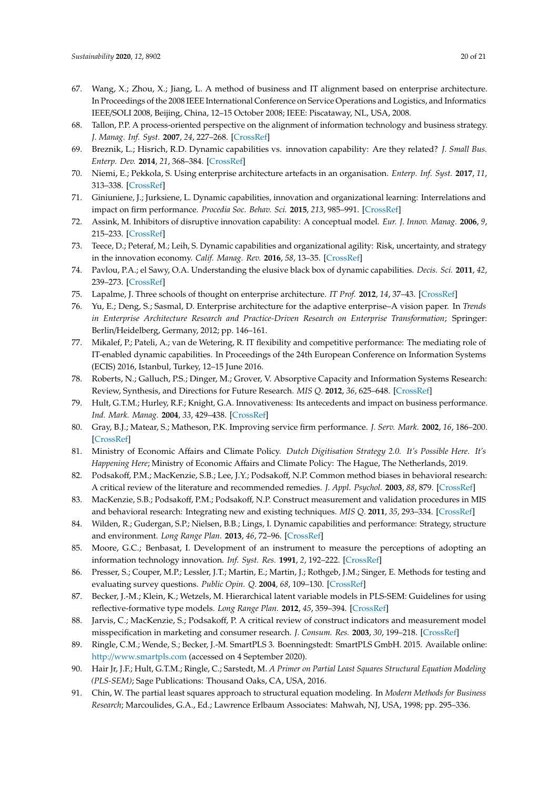- <span id="page-19-0"></span>67. Wang, X.; Zhou, X.; Jiang, L. A method of business and IT alignment based on enterprise architecture. In Proceedings of the 2008 IEEE International Conference on Service Operations and Logistics, and Informatics IEEE/SOLI 2008, Beijing, China, 12–15 October 2008; IEEE: Piscataway, NL, USA, 2008.
- <span id="page-19-1"></span>68. Tallon, P.P. A process-oriented perspective on the alignment of information technology and business strategy. *J. Manag. Inf. Syst.* **2007**, *24*, 227–268. [\[CrossRef\]](http://dx.doi.org/10.2753/MIS0742-1222240308)
- <span id="page-19-2"></span>69. Breznik, L.; Hisrich, R.D. Dynamic capabilities vs. innovation capability: Are they related? *J. Small Bus. Enterp. Dev.* **2014**, *21*, 368–384. [\[CrossRef\]](http://dx.doi.org/10.1108/JSBED-02-2014-0018)
- 70. Niemi, E.; Pekkola, S. Using enterprise architecture artefacts in an organisation. *Enterp. Inf. Syst.* **2017**, *11*, 313–338. [\[CrossRef\]](http://dx.doi.org/10.1080/17517575.2015.1048831)
- <span id="page-19-3"></span>71. Giniuniene, J.; Jurksiene, L. Dynamic capabilities, innovation and organizational learning: Interrelations and impact on firm performance. *Procedia Soc. Behav. Sci.* **2015**, *213*, 985–991. [\[CrossRef\]](http://dx.doi.org/10.1016/j.sbspro.2015.11.515)
- <span id="page-19-4"></span>72. Assink, M. Inhibitors of disruptive innovation capability: A conceptual model. *Eur. J. Innov. Manag.* **2006**, *9*, 215–233. [\[CrossRef\]](http://dx.doi.org/10.1108/14601060610663587)
- <span id="page-19-5"></span>73. Teece, D.; Peteraf, M.; Leih, S. Dynamic capabilities and organizational agility: Risk, uncertainty, and strategy in the innovation economy. *Calif. Manag. Rev.* **2016**, *58*, 13–35. [\[CrossRef\]](http://dx.doi.org/10.1525/cmr.2016.58.4.13)
- <span id="page-19-6"></span>74. Pavlou, P.A.; el Sawy, O.A. Understanding the elusive black box of dynamic capabilities. *Decis. Sci.* **2011**, *42*, 239–273. [\[CrossRef\]](http://dx.doi.org/10.1111/j.1540-5915.2010.00287.x)
- <span id="page-19-7"></span>75. Lapalme, J. Three schools of thought on enterprise architecture. *IT Prof.* **2012**, *14*, 37–43. [\[CrossRef\]](http://dx.doi.org/10.1109/MITP.2011.109)
- <span id="page-19-8"></span>76. Yu, E.; Deng, S.; Sasmal, D. Enterprise architecture for the adaptive enterprise–A vision paper. In *Trends in Enterprise Architecture Research and Practice-Driven Research on Enterprise Transformation*; Springer: Berlin/Heidelberg, Germany, 2012; pp. 146–161.
- <span id="page-19-9"></span>77. Mikalef, P.; Pateli, A.; van de Wetering, R. IT flexibility and competitive performance: The mediating role of IT-enabled dynamic capabilities. In Proceedings of the 24th European Conference on Information Systems (ECIS) 2016, Istanbul, Turkey, 12–15 June 2016.
- <span id="page-19-10"></span>78. Roberts, N.; Galluch, P.S.; Dinger, M.; Grover, V. Absorptive Capacity and Information Systems Research: Review, Synthesis, and Directions for Future Research. *MIS Q.* **2012**, *36*, 625–648. [\[CrossRef\]](http://dx.doi.org/10.2307/41703470)
- <span id="page-19-11"></span>79. Hult, G.T.M.; Hurley, R.F.; Knight, G.A. Innovativeness: Its antecedents and impact on business performance. *Ind. Mark. Manag.* **2004**, *33*, 429–438. [\[CrossRef\]](http://dx.doi.org/10.1016/j.indmarman.2003.08.015)
- <span id="page-19-12"></span>80. Gray, B.J.; Matear, S.; Matheson, P.K. Improving service firm performance. *J. Serv. Mark.* **2002**, *16*, 186–200. [\[CrossRef\]](http://dx.doi.org/10.1108/08876040210427191)
- <span id="page-19-13"></span>81. Ministry of Economic Affairs and Climate Policy. *Dutch Digitisation Strategy 2.0. It's Possible Here. It's Happening Here*; Ministry of Economic Affairs and Climate Policy: The Hague, The Netherlands, 2019.
- <span id="page-19-14"></span>82. Podsakoff, P.M.; MacKenzie, S.B.; Lee, J.Y.; Podsakoff, N.P. Common method biases in behavioral research: A critical review of the literature and recommended remedies. *J. Appl. Psychol.* **2003**, *88*, 879. [\[CrossRef\]](http://dx.doi.org/10.1037/0021-9010.88.5.879)
- <span id="page-19-15"></span>83. MacKenzie, S.B.; Podsakoff, P.M.; Podsakoff, N.P. Construct measurement and validation procedures in MIS and behavioral research: Integrating new and existing techniques. *MIS Q.* **2011**, *35*, 293–334. [\[CrossRef\]](http://dx.doi.org/10.2307/23044045)
- <span id="page-19-16"></span>84. Wilden, R.; Gudergan, S.P.; Nielsen, B.B.; Lings, I. Dynamic capabilities and performance: Strategy, structure and environment. *Long Range Plan.* **2013**, *46*, 72–96. [\[CrossRef\]](http://dx.doi.org/10.1016/j.lrp.2012.12.001)
- <span id="page-19-17"></span>85. Moore, G.C.; Benbasat, I. Development of an instrument to measure the perceptions of adopting an information technology innovation. *Inf. Syst. Res.* **1991**, *2*, 192–222. [\[CrossRef\]](http://dx.doi.org/10.1287/isre.2.3.192)
- <span id="page-19-18"></span>86. Presser, S.; Couper, M.P.; Lessler, J.T.; Martin, E.; Martin, J.; Rothgeb, J.M.; Singer, E. Methods for testing and evaluating survey questions. *Public Opin. Q.* **2004**, *68*, 109–130. [\[CrossRef\]](http://dx.doi.org/10.1093/poq/nfh008)
- <span id="page-19-19"></span>87. Becker, J.-M.; Klein, K.; Wetzels, M. Hierarchical latent variable models in PLS-SEM: Guidelines for using reflective-formative type models. *Long Range Plan.* **2012**, *45*, 359–394. [\[CrossRef\]](http://dx.doi.org/10.1016/j.lrp.2012.10.001)
- <span id="page-19-20"></span>88. Jarvis, C.; MacKenzie, S.; Podsakoff, P. A critical review of construct indicators and measurement model misspecification in marketing and consumer research. *J. Consum. Res.* **2003**, *30*, 199–218. [\[CrossRef\]](http://dx.doi.org/10.1086/376806)
- <span id="page-19-21"></span>89. Ringle, C.M.; Wende, S.; Becker, J.-M. SmartPLS 3. Boenningstedt: SmartPLS GmbH. 2015. Available online: http://[www.smartpls.com](http://www.smartpls.com) (accessed on 4 September 2020).
- <span id="page-19-22"></span>90. Hair Jr, J.F.; Hult, G.T.M.; Ringle, C.; Sarstedt, M. *A Primer on Partial Least Squares Structural Equation Modeling (PLS-SEM)*; Sage Publications: Thousand Oaks, CA, USA, 2016.
- <span id="page-19-23"></span>91. Chin, W. The partial least squares approach to structural equation modeling. In *Modern Methods for Business Research*; Marcoulides, G.A., Ed.; Lawrence Erlbaum Associates: Mahwah, NJ, USA, 1998; pp. 295–336.